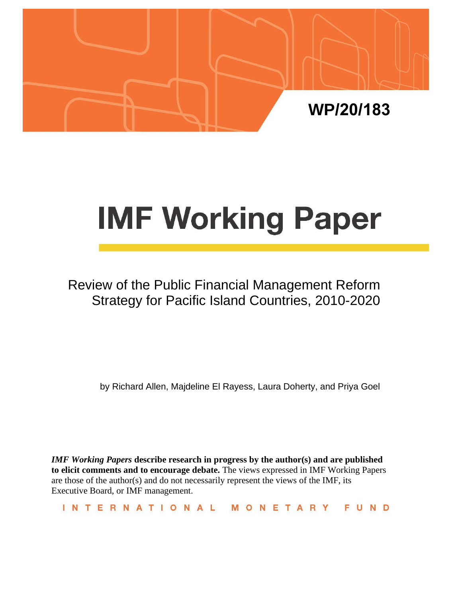

# **IMF Working Paper**

## Review of the Public Financial Management Reform Strategy for Pacific Island Countries, 2010-2020

by Richard Allen, Majdeline El Rayess, Laura Doherty, and Priya Goel

*IMF Working Papers* **describe research in progress by the author(s) and are published to elicit comments and to encourage debate.** The views expressed in IMF Working Papers are those of the author(s) and do not necessarily represent the views of the IMF, its Executive Board, or IMF management.

INTERNATIONAL MONETARY FUND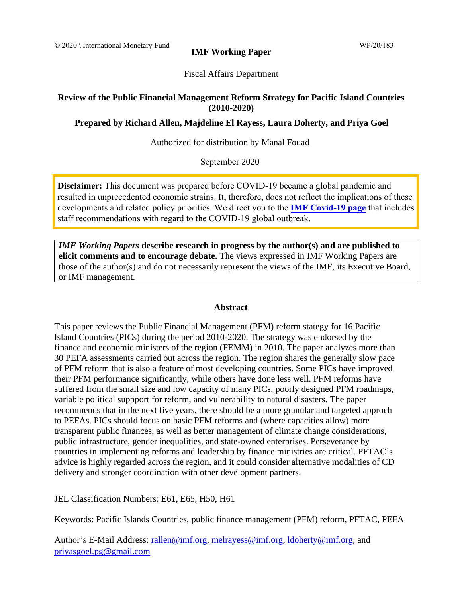**IMF Working Paper** 

#### Fiscal Affairs Department

#### **Review of the Public Financial Management Reform Strategy for Pacific Island Countries (2010-2020)**

#### **Prepared by Richard Allen, Majdeline El Rayess, Laura Doherty, and Priya Goel**

#### Authorized for distribution by Manal Fouad

#### September 2020

**Disclaimer:** This document was prepared before COVID-19 became a global pandemic and [resulted in unprecedented economic strains. It, therefore, does not reflect the implications of these](https://www.imf.org/en/Topics/imf-and-covid19)  developments and related policy priorities. We direct you to the **IMF Covid-19 page** that includes staff recommendations with regard to the COVID-19 global outbreak.

*IMF Working Papers* **describe research in progress by the author(s) and are published to elicit comments and to encourage debate.** The views expressed in IMF Working Papers are those of the author(s) and do not necessarily represent the views of the IMF, its Executive Board, or IMF management.

#### **Abstract**

<span id="page-1-0"></span>This paper reviews the Public Financial Management (PFM) reform stategy for 16 Pacific Island Countries (PICs) during the period 2010-2020. The strategy was endorsed by the finance and economic ministers of the region (FEMM) in 2010. The paper analyzes more than 30 PEFA assessments carried out across the region. The region shares the generally slow pace of PFM reform that is also a feature of most developing countries. Some PICs have improved their PFM performance significantly, while others have done less well. PFM reforms have suffered from the small size and low capacity of many PICs, poorly designed PFM roadmaps, variable political suppport for reform, and vulnerability to natural disasters. The paper recommends that in the next five years, there should be a more granular and targeted approch to PEFAs. PICs should focus on basic PFM reforms and (where capacities allow) more transparent public finances, as well as better management of climate change considerations, public infrastructure, gender inequalities, and state-owned enterprises. Perseverance by countries in implementing reforms and leadership by finance ministries are critical. PFTAC's advice is highly regarded across the region, and it could consider alternative modalities of CD delivery and stronger coordination with other development partners.

JEL Classification Numbers: E61, E65, H50, H61

Keywords: Pacific Islands Countries, public finance management (PFM) reform, PFTAC, PEFA

Author's E-Mail Address: [rallen@imf.org,](mailto:rallen@imf.org) [melrayess@imf.org,](mailto:melrayess@imf.org) [ldoherty@imf.org,](mailto:ldoherty@imf.org) and [priyasgoel.pg@gmail.com](mailto:priyasgoel.pg@gmail.com)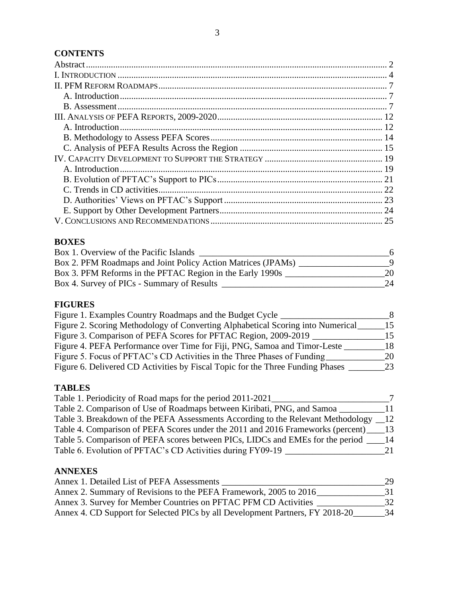## **CONTENTS**

## **BOXES**

| Box 1. Overview of the Pacific Islands                       | 6  |
|--------------------------------------------------------------|----|
| Box 2. PFM Roadmaps and Joint Policy Action Matrices (JPAMs) |    |
| Box 3. PFM Reforms in the PFTAC Region in the Early 1990s    | 20 |
| Box 4. Survey of PICs - Summary of Results                   | 24 |

## **FIGURES**

| Figure 1. Examples Country Roadmaps and the Budget Cycle                        | -8 |
|---------------------------------------------------------------------------------|----|
| Figure 2. Scoring Methodology of Converting Alphabetical Scoring into Numerical | 15 |
| Figure 3. Comparison of PEFA Scores for PFTAC Region, 2009-2019                 | 15 |
| Figure 4. PEFA Performance over Time for Fiji, PNG, Samoa and Timor-Leste       | 18 |
| Figure 5. Focus of PFTAC's CD Activities in the Three Phases of Funding         | 20 |
| Figure 6. Delivered CD Activities by Fiscal Topic for the Three Funding Phases  | 23 |
|                                                                                 |    |

## **TABLES**

| Table 1. Periodicity of Road maps for the period 2011-2021                          |     |
|-------------------------------------------------------------------------------------|-----|
| Table 2. Comparison of Use of Roadmaps between Kiribati, PNG, and Samoa             | 11  |
| Table 3. Breakdown of the PEFA Assessments According to the Relevant Methodology 12 |     |
| Table 4. Comparison of PEFA Scores under the 2011 and 2016 Frameworks (percent) 13  |     |
| Table 5. Comparison of PEFA scores between PICs, LIDCs and EMEs for the period      | -14 |
| Table 6. Evolution of PFTAC's CD Activities during FY09-19                          | 21  |

## **ANNEXES**

| Annex 1. Detailed List of PEFA Assessments                                    | 29 |
|-------------------------------------------------------------------------------|----|
| Annex 2. Summary of Revisions to the PEFA Framework, 2005 to 2016             | 31 |
| Annex 3. Survey for Member Countries on PFTAC PFM CD Activities               | 32 |
| Annex 4. CD Support for Selected PICs by all Development Partners, FY 2018-20 | 34 |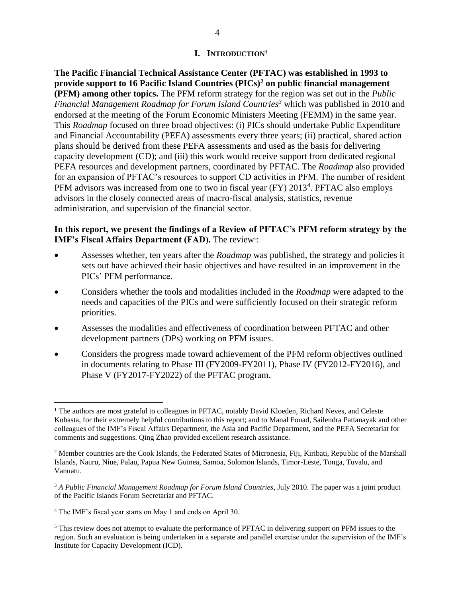#### **I. INTRODUCTION<sup>1</sup>**

<span id="page-3-0"></span>**The Pacific Financial Technical Assistance Center (PFTAC) was established in 1993 to provide support to 16 Pacific Island Countries (PICs)<sup>2</sup> on public financial management (PFM) among other topics.** The PFM reform strategy for the region was set out in the *Public Financial Management Roadmap for Forum Island Countries<sup>3</sup>* which was published in 2010 and endorsed at the meeting of the Forum Economic Ministers Meeting (FEMM) in the same year. This *Roadmap* focused on three broad objectives: (i) PICs should undertake Public Expenditure and Financial Accountability (PEFA) assessments every three years; (ii) practical, shared action plans should be derived from these PEFA assessments and used as the basis for delivering capacity development (CD); and (iii) this work would receive support from dedicated regional PEFA resources and development partners, coordinated by PFTAC. The *Roadmap* also provided for an expansion of PFTAC's resources to support CD activities in PFM. The number of resident PFM advisors was increased from one to two in fiscal year (FY) 2013<sup>4</sup>. PFTAC also employs advisors in the closely connected areas of macro-fiscal analysis, statistics, revenue administration, and supervision of the financial sector.

#### **In this report, we present the findings of a Review of PFTAC's PFM reform strategy by the IMF's Fiscal Affairs Department (FAD).** The review<sup>5</sup>:

- Assesses whether, ten years after the *Roadmap* was published, the strategy and policies it sets out have achieved their basic objectives and have resulted in an improvement in the PICs' PFM performance.
- Considers whether the tools and modalities included in the *Roadmap* were adapted to the needs and capacities of the PICs and were sufficiently focused on their strategic reform priorities.
- Assesses the modalities and effectiveness of coordination between PFTAC and other development partners (DPs) working on PFM issues.
- Considers the progress made toward achievement of the PFM reform objectives outlined in documents relating to Phase III (FY2009-FY2011), Phase IV (FY2012-FY2016), and Phase V (FY2017-FY2022) of the PFTAC program.

 $1$  The authors are most grateful to colleagues in PFTAC, notably David Kloeden, Richard Neves, and Celeste Kubasta, for their extremely helpful contributions to this report; and to Manal Fouad, Sailendra Pattanayak and other colleagues of the IMF's Fiscal Affairs Department, the Asia and Pacific Department, and the PEFA Secretariat for comments and suggestions. Qing Zhao provided excellent research assistance.

<sup>&</sup>lt;sup>2</sup> Member countries are the Cook Islands, the Federated States of Micronesia, Fiji, Kiribati, Republic of the Marshall Islands, Nauru, Niue, Palau, Papua New Guinea, Samoa, Solomon Islands, Timor-Leste, Tonga, Tuvalu, and Vanuatu.

<sup>3</sup> *A Public Financial Management Roadmap for Forum Island Countries*, July 2010. The paper was a joint product of the Pacific Islands Forum Secretariat and PFTAC.

<sup>4</sup> The IMF's fiscal year starts on May 1 and ends on April 30.

<sup>5</sup> This review does not attempt to evaluate the performance of PFTAC in delivering support on PFM issues to the region. Such an evaluation is being undertaken in a separate and parallel exercise under the supervision of the IMF's Institute for Capacity Development (ICD).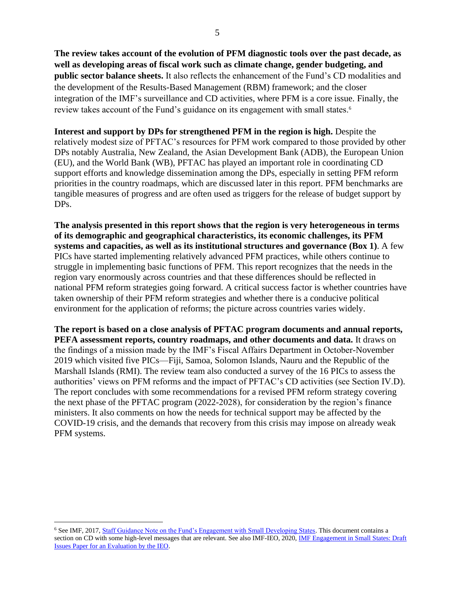**The review takes account of the evolution of PFM diagnostic tools over the past decade, as well as developing areas of fiscal work such as climate change, gender budgeting, and public sector balance sheets.** It also reflects the enhancement of the Fund's CD modalities and the development of the Results-Based Management (RBM) framework; and the closer integration of the IMF's surveillance and CD activities, where PFM is a core issue. Finally, the review takes account of the Fund's guidance on its engagement with small states.<sup>6</sup>

**Interest and support by DPs for strengthened PFM in the region is high.** Despite the relatively modest size of PFTAC's resources for PFM work compared to those provided by other DPs notably Australia, New Zealand, the Asian Development Bank (ADB), the European Union (EU), and the World Bank (WB), PFTAC has played an important role in coordinating CD support efforts and knowledge dissemination among the DPs, especially in setting PFM reform priorities in the country roadmaps, which are discussed later in this report. PFM benchmarks are tangible measures of progress and are often used as triggers for the release of budget support by DPs.

**The analysis presented in this report shows that the region is very heterogeneous in terms of its demographic and geographical characteristics, its economic challenges, its PFM systems and capacities, as well as its institutional structures and governance (Box 1)**. A few PICs have started implementing relatively advanced PFM practices, while others continue to struggle in implementing basic functions of PFM. This report recognizes that the needs in the region vary enormously across countries and that these differences should be reflected in national PFM reform strategies going forward. A critical success factor is whether countries have taken ownership of their PFM reform strategies and whether there is a conducive political environment for the application of reforms; the picture across countries varies widely.

**The report is based on a close analysis of PFTAC program documents and annual reports, PEFA assessment reports, country roadmaps, and other documents and data.** It draws on the findings of a mission made by the IMF's Fiscal Affairs Department in October-November 2019 which visited five PICs—Fiji, Samoa, Solomon Islands, Nauru and the Republic of the Marshall Islands (RMI). The review team also conducted a survey of the 16 PICs to assess the authorities' views on PFM reforms and the impact of PFTAC's CD activities (see Section IV.D). The report concludes with some recommendations for a revised PFM reform strategy covering the next phase of the PFTAC program (2022-2028), for consideration by the region's finance ministers. It also comments on how the needs for technical support may be affected by the COVID-19 crisis, and the demands that recovery from this crisis may impose on already weak PFM systems.

<sup>&</sup>lt;sup>6</sup> See IMF, 2017, **Staff Guidance Note on the Fund's Engagement with Small Developing States**. This document contains a section on CD with some high-level messages that are relevant. See also IMF-IEO, 2020[, IMF Engagement in Small States: Draft](https://ieo.imf.org/~/media/7AC76DCE2C6F4AF1A5BAFFEA3DB51936.ashx)  [Issues Paper for an Evaluation by the IEO.](https://ieo.imf.org/~/media/7AC76DCE2C6F4AF1A5BAFFEA3DB51936.ashx)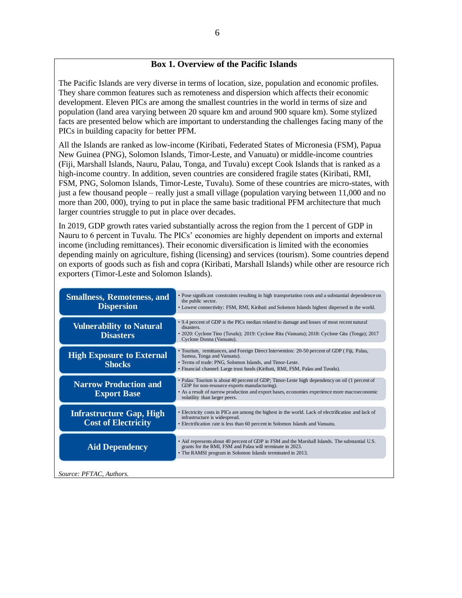#### **Box 1. Overview of the Pacific Islands**

The Pacific Islands are very diverse in terms of location, size, population and economic profiles. They share common features such as remoteness and dispersion which affects their economic development. Eleven PICs are among the smallest countries in the world in terms of size and population (land area varying between 20 square km and around 900 square km). Some stylized facts are presented below which are important to understanding the challenges facing many of the PICs in building capacity for better PFM.

All the Islands are ranked as low-income (Kiribati, Federated States of Micronesia (FSM), Papua New Guinea (PNG), Solomon Islands, Timor-Leste, and Vanuatu) or middle-income countries (Fiji, Marshall Islands, Nauru, Palau, Tonga, and Tuvalu) except Cook Islands that is ranked as a high-income country. In addition, seven countries are considered fragile states (Kiribati, RMI, FSM, PNG, Solomon Islands, Timor-Leste, Tuvalu). Some of these countries are micro-states, with just a few thousand people – really just a small village (population varying between 11,000 and no more than 200, 000), trying to put in place the same basic traditional PFM architecture that much larger countries struggle to put in place over decades.

In 2019, GDP growth rates varied substantially across the region from the 1 percent of GDP in Nauru to 6 percent in Tuvalu. The PICs' economies are highly dependent on imports and external income (including remittances). Their economic diversification is limited with the economies depending mainly on agriculture, fishing (licensing) and services (tourism). Some countries depend on exports of goods such as fish and copra (Kiribati, Marshall Islands) while other are resource rich exporters (Timor-Leste and Solomon Islands).

<span id="page-5-0"></span>

| <b>Smallness, Remoteness, and</b><br><b>Dispersion</b>        | • Pose significant constraints resulting in high transportation costs and a substantial dependence on<br>the public sector.<br>• Lowest connectivity: FSM, RMI, Kiribati and Solomon Islands highest dispersed in the world.                                                   |
|---------------------------------------------------------------|--------------------------------------------------------------------------------------------------------------------------------------------------------------------------------------------------------------------------------------------------------------------------------|
| <b>Vulnerability to Natural</b><br><b>Disasters</b>           | • 9.4 percent of GDP is the PICs median related to damage and losses of most recent natural<br>disasters.<br>• 2020: Cyclone Tino (Tuvalu); 2019: Cyclone Rita (Vanuatu); 2018: Cyclone Gita (Tonga); 2017<br>Cyclone Donna (Vanuatu).                                         |
| <b>High Exposure to External</b><br><b>Shocks</b>             | • Tourism, remittances, and Foreign Direct Intervention: 20-50 percent of GDP (Fiji, Palau,<br>Samoa, Tonga and Vanuatu).<br>• Terms of trade: PNG, Solomon Islands, and Timor-Leste.<br>• Financial channel: Large trust funds (Kiribati, RMI, FSM, Palau and Tuvalu).        |
| <b>Narrow Production and</b><br><b>Export Base</b>            | • Palau: Tourism is about 40 percent of GDP; Timor-Leste high dependency on oil (1 percent of<br>GDP for non-resource exports manufacturing).<br>• As a result of narrow production and export bases, economies experience more macroeconomic<br>volatility than larger peers. |
| <b>Infrastructure Gap, High</b><br><b>Cost of Electricity</b> | • Electricity costs in PICs are among the highest in the world. Lack of electrification and lack of<br>infrastructure is widespread.<br>· Electrification rate is less than 60 percent in Solomon Islands and Vanuatu.                                                         |
| <b>Aid Dependency</b>                                         | • Aid represents about 40 percent of GDP in FSM and the Marshall Islands. The substantial U.S.<br>grants for the RMI, FSM and Palau will terminate in 2023.<br>• The RAMSI program in Solomon Islands terminated in 2013.                                                      |
| Source: PFTAC, Authors.                                       |                                                                                                                                                                                                                                                                                |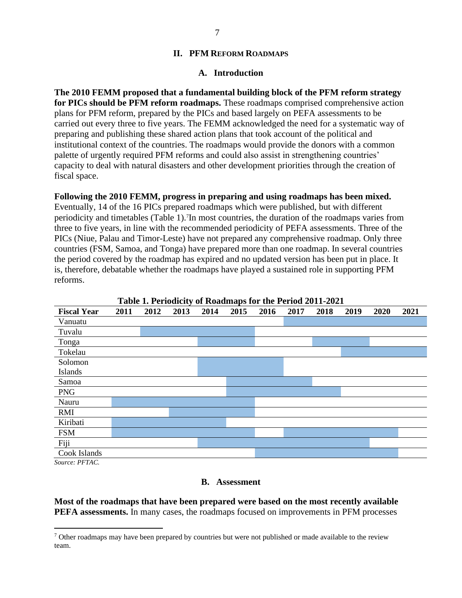#### **II. PFM REFORM ROADMAPS**

#### **A. Introduction**

<span id="page-6-0"></span>**The 2010 FEMM proposed that a fundamental building block of the PFM reform strategy for PICs should be PFM reform roadmaps.** These roadmaps comprised comprehensive action plans for PFM reform, prepared by the PICs and based largely on PEFA assessments to be carried out every three to five years. The FEMM acknowledged the need for a systematic way of preparing and publishing these shared action plans that took account of the political and institutional context of the countries. The roadmaps would provide the donors with a common palette of urgently required PFM reforms and could also assist in strengthening countries' capacity to deal with natural disasters and other development priorities through the creation of fiscal space.

#### **Following the 2010 FEMM, progress in preparing and using roadmaps has been mixed.**

Eventually, 14 of the 16 PICs prepared roadmaps which were published, but with different periodicity and timetables (Table 1). 7 In most countries, the duration of the roadmaps varies from three to five years, in line with the recommended periodicity of PEFA assessments. Three of the PICs (Niue, Palau and Timor-Leste) have not prepared any comprehensive roadmap. Only three countries (FSM, Samoa, and Tonga) have prepared more than one roadmap. In several countries the period covered by the roadmap has expired and no updated version has been put in place. It is, therefore, debatable whether the roadmaps have played a sustained role in supporting PFM reforms.

| Table 1. Feriodicity of Noadmaps for the Feriod 2011-2021 |      |      |      |      |      |      |      |      |      |      |      |
|-----------------------------------------------------------|------|------|------|------|------|------|------|------|------|------|------|
| <b>Fiscal Year</b>                                        | 2011 | 2012 | 2013 | 2014 | 2015 | 2016 | 2017 | 2018 | 2019 | 2020 | 2021 |
| Vanuatu                                                   |      |      |      |      |      |      |      |      |      |      |      |
| Tuvalu                                                    |      |      |      |      |      |      |      |      |      |      |      |
| Tonga                                                     |      |      |      |      |      |      |      |      |      |      |      |
| Tokelau                                                   |      |      |      |      |      |      |      |      |      |      |      |
| Solomon                                                   |      |      |      |      |      |      |      |      |      |      |      |
| Islands                                                   |      |      |      |      |      |      |      |      |      |      |      |
| Samoa                                                     |      |      |      |      |      |      |      |      |      |      |      |
| <b>PNG</b>                                                |      |      |      |      |      |      |      |      |      |      |      |
| Nauru                                                     |      |      |      |      |      |      |      |      |      |      |      |
| <b>RMI</b>                                                |      |      |      |      |      |      |      |      |      |      |      |
| Kiribati                                                  |      |      |      |      |      |      |      |      |      |      |      |
| <b>FSM</b>                                                |      |      |      |      |      |      |      |      |      |      |      |
| Fiji                                                      |      |      |      |      |      |      |      |      |      |      |      |
| Cook Islands<br>$\sim$<br>PPTI                            |      |      |      |      |      |      |      |      |      |      |      |

**Table 1. Periodicity of Roadmaps for the Period 2011-2021**

<span id="page-6-1"></span>*Source: PFTAC.*

#### **B. Assessment**

**Most of the roadmaps that have been prepared were based on the most recently available PEFA assessments.** In many cases, the roadmaps focused on improvements in PFM processes

<sup>&</sup>lt;sup>7</sup> Other roadmaps may have been prepared by countries but were not published or made available to the review team.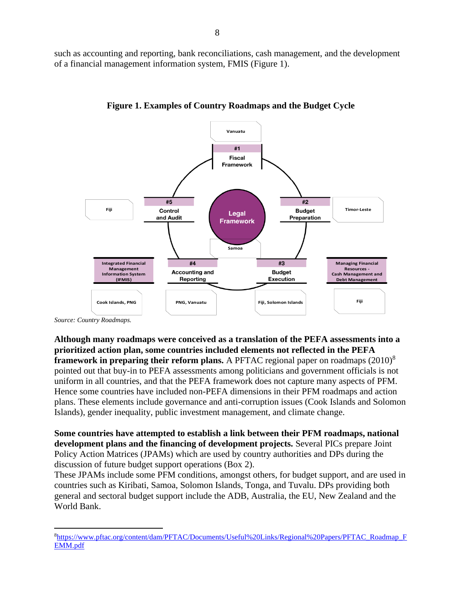such as accounting and reporting, bank reconciliations, cash management, and the development of a financial management information system, FMIS (Figure 1).



**Figure 1. Examples of Country Roadmaps and the Budget Cycle**

*Source: Country Roadmaps.* 

**Although many roadmaps were conceived as a translation of the PEFA assessments into a prioritized action plan, some countries included elements not reflected in the PEFA framework in preparing their reform plans.** A PFTAC regional paper on roadmaps (2010)<sup>8</sup> pointed out that buy-in to PEFA assessments among politicians and government officials is not uniform in all countries, and that the PEFA framework does not capture many aspects of PFM. Hence some countries have included non-PEFA dimensions in their PFM roadmaps and action plans. These elements include governance and anti-corruption issues (Cook Islands and Solomon Islands), gender inequality, public investment management, and climate change.

**Some countries have attempted to establish a link between their PFM roadmaps, national development plans and the financing of development projects.** Several PICs prepare Joint Policy Action Matrices (JPAMs) which are used by country authorities and DPs during the discussion of future budget support operations (Box 2).

These JPAMs include some PFM conditions, amongst others, for budget support, and are used in countries such as Kiribati, Samoa, Solomon Islands, Tonga, and Tuvalu. DPs providing both general and sectoral budget support include the ADB, Australia, the EU, New Zealand and the World Bank.

<sup>8</sup>[https://www.pftac.org/content/dam/PFTAC/Documents/Useful%20Links/Regional%20Papers/PFTAC\\_Roadmap\\_F](https://www.pftac.org/content/dam/PFTAC/Documents/Useful%20Links/Regional%20Papers/PFTAC_Roadmap_FEMM.pdf) [EMM.pdf](https://www.pftac.org/content/dam/PFTAC/Documents/Useful%20Links/Regional%20Papers/PFTAC_Roadmap_FEMM.pdf)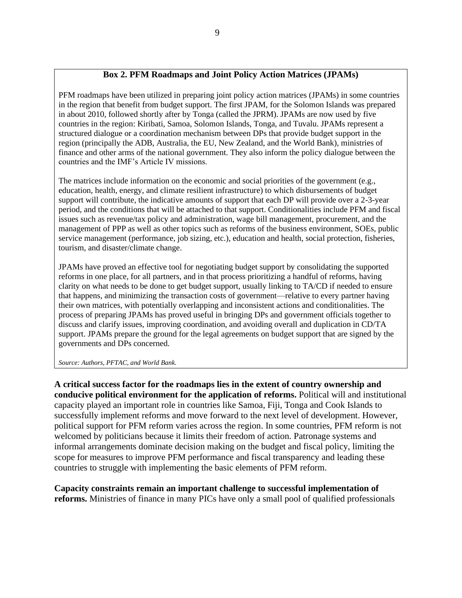#### **Box 2. PFM Roadmaps and Joint Policy Action Matrices (JPAMs)**

PFM roadmaps have been utilized in preparing joint policy action matrices (JPAMs) in some countries in the region that benefit from budget support. The first JPAM, for the Solomon Islands was prepared in about 2010, followed shortly after by Tonga (called the JPRM). JPAMs are now used by five countries in the region: Kiribati, Samoa, Solomon Islands, Tonga, and Tuvalu. JPAMs represent a structured dialogue or a coordination mechanism between DPs that provide budget support in the region (principally the ADB, Australia, the EU, New Zealand, and the World Bank), ministries of finance and other arms of the national government. They also inform the policy dialogue between the countries and the IMF's Article IV missions.

The matrices include information on the economic and social priorities of the government (e.g., education, health, energy, and climate resilient infrastructure) to which disbursements of budget support will contribute, the indicative amounts of support that each DP will provide over a 2-3-year period, and the conditions that will be attached to that support. Conditionalities include PFM and fiscal issues such as revenue/tax policy and administration, wage bill management, procurement, and the management of PPP as well as other topics such as reforms of the business environment, SOEs, public service management (performance, job sizing, etc.), education and health, social protection, fisheries, tourism, and disaster/climate change.

JPAMs have proved an effective tool for negotiating budget support by consolidating the supported reforms in one place, for all partners, and in that process prioritizing a handful of reforms, having clarity on what needs to be done to get budget support, usually linking to TA/CD if needed to ensure that happens, and minimizing the transaction costs of government—relative to every partner having their own matrices, with potentially overlapping and inconsistent actions and conditionalities. The process of preparing JPAMs has proved useful in bringing DPs and government officials together to discuss and clarify issues, improving coordination, and avoiding overall and duplication in CD/TA support. JPAMs prepare the ground for the legal agreements on budget support that are signed by the governments and DPs concerned.

*Source: Authors, PFTAC, and World Bank.* 

**A critical success factor for the roadmaps lies in the extent of country ownership and conducive political environment for the application of reforms.** Political will and institutional capacity played an important role in countries like Samoa, Fiji, Tonga and Cook Islands to successfully implement reforms and move forward to the next level of development. However, political support for PFM reform varies across the region. In some countries, PFM reform is not welcomed by politicians because it limits their freedom of action. Patronage systems and informal arrangements dominate decision making on the budget and fiscal policy, limiting the scope for measures to improve PFM performance and fiscal transparency and leading these countries to struggle with implementing the basic elements of PFM reform.

**Capacity constraints remain an important challenge to successful implementation of reforms.** Ministries of finance in many PICs have only a small pool of qualified professionals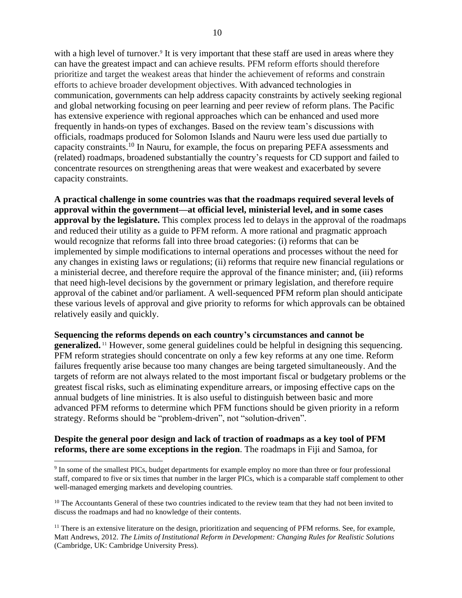with a high level of turnover.<sup>9</sup> It is very important that these staff are used in areas where they can have the greatest impact and can achieve results. PFM reform efforts should therefore prioritize and target the weakest areas that hinder the achievement of reforms and constrain efforts to achieve broader development objectives. With advanced technologies in communication, governments can help address capacity constraints by actively seeking regional and global networking focusing on peer learning and peer review of reform plans. The Pacific has extensive experience with regional approaches which can be enhanced and used more frequently in hands-on types of exchanges. Based on the review team's discussions with officials, roadmaps produced for Solomon Islands and Nauru were less used due partially to capacity constraints.<sup>10</sup> In Nauru, for example, the focus on preparing PEFA assessments and (related) roadmaps, broadened substantially the country's requests for CD support and failed to concentrate resources on strengthening areas that were weakest and exacerbated by severe capacity constraints.

**A practical challenge in some countries was that the roadmaps required several levels of approval within the government—at official level, ministerial level, and in some cases approval by the legislature.** This complex process led to delays in the approval of the roadmaps and reduced their utility as a guide to PFM reform. A more rational and pragmatic approach would recognize that reforms fall into three broad categories: (i) reforms that can be implemented by simple modifications to internal operations and processes without the need for any changes in existing laws or regulations; (ii) reforms that require new financial regulations or a ministerial decree, and therefore require the approval of the finance minister; and, (iii) reforms that need high-level decisions by the government or primary legislation, and therefore require approval of the cabinet and/or parliament. A well-sequenced PFM reform plan should anticipate these various levels of approval and give priority to reforms for which approvals can be obtained relatively easily and quickly.

#### **Sequencing the reforms depends on each country's circumstances and cannot be**

**generalized.** <sup>11</sup> However, some general guidelines could be helpful in designing this sequencing. PFM reform strategies should concentrate on only a few key reforms at any one time. Reform failures frequently arise because too many changes are being targeted simultaneously. And the targets of reform are not always related to the most important fiscal or budgetary problems or the greatest fiscal risks, such as eliminating expenditure arrears, or imposing effective caps on the annual budgets of line ministries. It is also useful to distinguish between basic and more advanced PFM reforms to determine which PFM functions should be given priority in a reform strategy. Reforms should be "problem-driven", not "solution-driven".

#### **Despite the general poor design and lack of traction of roadmaps as a key tool of PFM reforms, there are some exceptions in the region**. The roadmaps in Fiji and Samoa, for

<sup>&</sup>lt;sup>9</sup> In some of the smallest PICs, budget departments for example employ no more than three or four professional staff, compared to five or six times that number in the larger PICs, which is a comparable staff complement to other well-managed emerging markets and developing countries.

<sup>&</sup>lt;sup>10</sup> The Accountants General of these two countries indicated to the review team that they had not been invited to discuss the roadmaps and had no knowledge of their contents.

 $<sup>11</sup>$  There is an extensive literature on the design, prioritization and sequencing of PFM reforms. See, for example,</sup> Matt Andrews, 2012. *The Limits of Institutional Reform in Development: Changing Rules for Realistic Solutions* (Cambridge, UK: Cambridge University Press).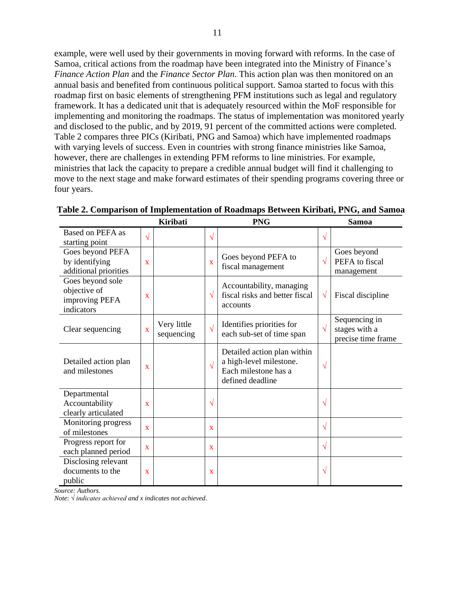example, were well used by their governments in moving forward with reforms. In the case of Samoa, critical actions from the roadmap have been integrated into the Ministry of Finance's *Finance Action Plan* and the *Finance Sector Plan*. This action plan was then monitored on an annual basis and benefited from continuous political support. Samoa started to focus with this roadmap first on basic elements of strengthening PFM institutions such as legal and regulatory framework. It has a dedicated unit that is adequately resourced within the MoF responsible for implementing and monitoring the roadmaps. The status of implementation was monitored yearly and disclosed to the public, and by 2019, 91 percent of the committed actions were completed. Table 2 compares three PICs (Kiribati, PNG and Samoa) which have implemented roadmaps with varying levels of success. Even in countries with strong finance ministries like Samoa, however, there are challenges in extending PFM reforms to line ministries. For example, ministries that lack the capacity to prepare a credible annual budget will find it challenging to move to the next stage and make forward estimates of their spending programs covering three or four years.

|                                                                               |                         | <b>Kiribati</b>           |                         | <b>PNG</b>                                                                                         |            | <b>Samoa</b>                                         |
|-------------------------------------------------------------------------------|-------------------------|---------------------------|-------------------------|----------------------------------------------------------------------------------------------------|------------|------------------------------------------------------|
| Based on PEFA as                                                              | $\sqrt{}$               |                           | $\sqrt{}$               |                                                                                                    | $\sqrt{}$  |                                                      |
| starting point<br>Goes beyond PEFA<br>by identifying<br>additional priorities | $\overline{\mathbf{X}}$ |                           | $\overline{\mathbf{X}}$ | Goes beyond PEFA to<br>fiscal management                                                           | $\sqrt{ }$ | Goes beyond<br>PEFA to fiscal<br>management          |
| Goes beyond sole<br>objective of<br>improving PEFA<br>indicators              | $\mathbf X$             |                           | $\sqrt{}$               | Accountability, managing<br>fiscal risks and better fiscal<br>accounts                             | $\sqrt{}$  | Fiscal discipline                                    |
| Clear sequencing                                                              | $\bar{\mathbf{X}}$      | Very little<br>sequencing | $\sqrt{ }$              | Identifies priorities for<br>each sub-set of time span                                             | $\sqrt{ }$ | Sequencing in<br>stages with a<br>precise time frame |
| Detailed action plan<br>and milestones                                        | X                       |                           | $\sqrt{ }$              | Detailed action plan within<br>a high-level milestone.<br>Each milestone has a<br>defined deadline | V          |                                                      |
| Departmental<br>Accountability<br>clearly articulated                         | X                       |                           | $\sqrt{}$               |                                                                                                    | $\sqrt{}$  |                                                      |
| Monitoring progress<br>of milestones                                          | $\mathbf{X}$            |                           | X                       |                                                                                                    | $\sqrt{ }$ |                                                      |
| Progress report for<br>each planned period                                    | X                       |                           | X                       |                                                                                                    | $\sqrt{}$  |                                                      |
| Disclosing relevant<br>documents to the<br>public                             | X                       |                           | X                       |                                                                                                    | $\sqrt{}$  |                                                      |

**Table 2. Comparison of Implementation of Roadmaps Between Kiribati, PNG, and Samoa**

*Source: Authors.*

*Note*: *√ indicates achieved and x indicates not achieved.*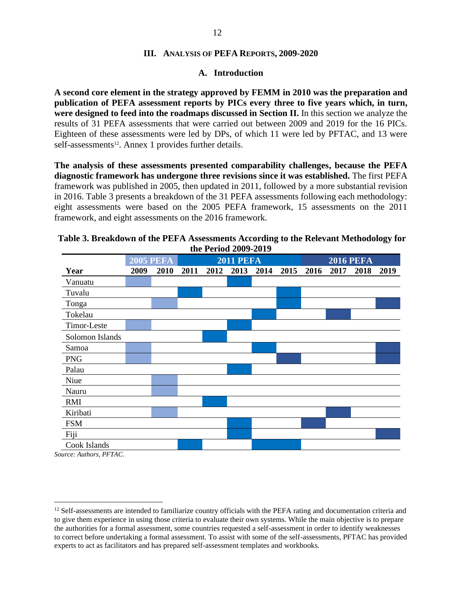#### **III. ANALYSIS OF PEFA REPORTS, 2009-2020**

#### **A. Introduction**

<span id="page-11-1"></span><span id="page-11-0"></span>**A second core element in the strategy approved by FEMM in 2010 was the preparation and publication of PEFA assessment reports by PICs every three to five years which, in turn, were designed to feed into the roadmaps discussed in Section II.** In this section we analyze the results of 31 PEFA assessments that were carried out between 2009 and 2019 for the 16 PICs. Eighteen of these assessments were led by DPs, of which 11 were led by PFTAC, and 13 were self-assessments<sup>12</sup>. Annex 1 provides further details.

**The analysis of these assessments presented comparability challenges, because the PEFA diagnostic framework has undergone three revisions since it was established.** The first PEFA framework was published in 2005, then updated in 2011, followed by a more substantial revision in 2016. Table 3 presents a breakdown of the 31 PEFA assessments following each methodology: eight assessments were based on the 2005 PEFA framework, 15 assessments on the 2011 framework, and eight assessments on the 2016 framework.

|                 |                  |      |                  | 1.1042007201 |      |      |      |                  |      |      |      |
|-----------------|------------------|------|------------------|--------------|------|------|------|------------------|------|------|------|
|                 | <b>2005 PEFA</b> |      | <b>2011 PEFA</b> |              |      |      |      | <b>2016 PEFA</b> |      |      |      |
| Year            | 2009             | 2010 | 2011             | 2012         | 2013 | 2014 | 2015 | 2016             | 2017 | 2018 | 2019 |
| Vanuatu         |                  |      |                  |              |      |      |      |                  |      |      |      |
| Tuvalu          |                  |      |                  |              |      |      |      |                  |      |      |      |
| Tonga           |                  |      |                  |              |      |      |      |                  |      |      |      |
| Tokelau         |                  |      |                  |              |      |      |      |                  |      |      |      |
| Timor-Leste     |                  |      |                  |              |      |      |      |                  |      |      |      |
| Solomon Islands |                  |      |                  |              |      |      |      |                  |      |      |      |
| Samoa           |                  |      |                  |              |      |      |      |                  |      |      |      |
| <b>PNG</b>      |                  |      |                  |              |      |      |      |                  |      |      |      |
| Palau           |                  |      |                  |              |      |      |      |                  |      |      |      |
| Niue            |                  |      |                  |              |      |      |      |                  |      |      |      |
| Nauru           |                  |      |                  |              |      |      |      |                  |      |      |      |
| RMI             |                  |      |                  |              |      |      |      |                  |      |      |      |
| Kiribati        |                  |      |                  |              |      |      |      |                  |      |      |      |
| <b>FSM</b>      |                  |      |                  |              |      |      |      |                  |      |      |      |
| Fiji            |                  |      |                  |              |      |      |      |                  |      |      |      |
| Cook Islands    |                  |      |                  |              |      |      |      |                  |      |      |      |

#### **Table 3. Breakdown of the PEFA Assessments According to the Relevant Methodology for the Period 2009-2019**

*Source: Authors, PFTAC.*

<sup>&</sup>lt;sup>12</sup> Self-assessments are intended to familiarize country officials with the PEFA rating and documentation criteria and to give them experience in using those criteria to evaluate their own systems. While the main objective is to prepare the authorities for a formal assessment, some countries requested a self-assessment in order to identify weaknesses to correct before undertaking a formal assessment. To assist with some of the self-assessments, PFTAC has provided experts to act as facilitators and has prepared self-assessment templates and workbooks.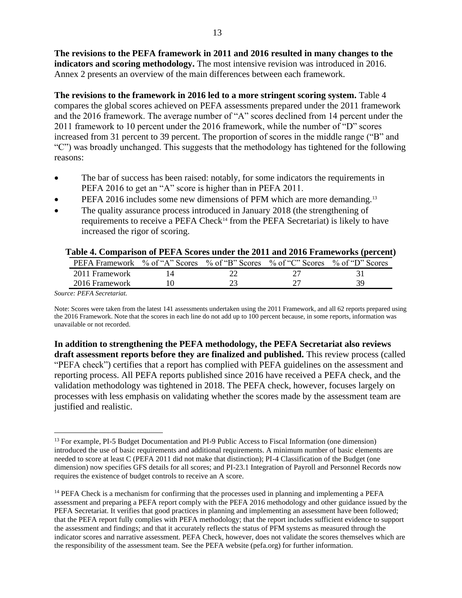**The revisions to the PEFA framework in 2011 and 2016 resulted in many changes to the indicators and scoring methodology.** The most intensive revision was introduced in 2016. Annex 2 presents an overview of the main differences between each framework.

The revisions to the framework in 2016 led to a more stringent scoring system. Table 4 compares the global scores achieved on PEFA assessments prepared under the 2011 framework and the 2016 framework. The average number of "A" scores declined from 14 percent under the 2011 framework to 10 percent under the 2016 framework, while the number of "D" scores increased from 31 percent to 39 percent. The proportion of scores in the middle range ("B" and "C") was broadly unchanged. This suggests that the methodology has tightened for the following reasons:

- The bar of success has been raised: notably, for some indicators the requirements in PEFA 2016 to get an "A" score is higher than in PEFA 2011.
- PEFA 2016 includes some new dimensions of PFM which are more demanding.<sup>13</sup>
- The quality assurance process introduced in January 2018 (the strengthening of requirements to receive a PEFA Check<sup>14</sup> from the PEFA Secretariat) is likely to have increased the rigor of scoring.

| Table - Comparison of FEFT beares ander the 2011 and 2010 Frameworks (percent  |  |    |
|--------------------------------------------------------------------------------|--|----|
| PEFA Framework % of "A" Scores % of "B" Scores % of "C" Scores % of "D" Scores |  |    |
| 2011 Framework                                                                 |  |    |
| 2016 Framework                                                                 |  | 39 |
|                                                                                |  |    |

#### **Table 4. Comparison of PEFA Scores under the 2011 and 2016 Frameworks (percent)**

*Source: PEFA Secretariat.*

Note: Scores were taken from the latest 141 assessments undertaken using the 2011 Framework, and all 62 reports prepared using the 2016 Framework. Note that the scores in each line do not add up to 100 percent because, in some reports, information was unavailable or not recorded.

**In addition to strengthening the PEFA methodology, the PEFA Secretariat also reviews draft assessment reports before they are finalized and published.** This review process (called "PEFA check") certifies that a report has complied with PEFA guidelines on the assessment and reporting process. All PEFA reports published since 2016 have received a PEFA check, and the validation methodology was tightened in 2018. The PEFA check, however, focuses largely on processes with less emphasis on validating whether the scores made by the assessment team are justified and realistic.

<sup>&</sup>lt;sup>13</sup> For example, PI-5 Budget Documentation and PI-9 Public Access to Fiscal Information (one dimension) introduced the use of basic requirements and additional requirements. A minimum number of basic elements are needed to score at least C (PEFA 2011 did not make that distinction); PI-4 Classification of the Budget (one dimension) now specifies GFS details for all scores; and PI-23.1 Integration of Payroll and Personnel Records now requires the existence of budget controls to receive an A score.

<sup>&</sup>lt;sup>14</sup> PEFA Check is a mechanism for confirming that the processes used in planning and implementing a PEFA assessment and preparing a PEFA report comply with the PEFA 2016 methodology and other guidance issued by the PEFA Secretariat. It verifies that good practices in planning and implementing an assessment have been followed; that the PEFA report fully complies with PEFA methodology; that the report includes sufficient evidence to support the assessment and findings; and that it accurately reflects the status of PFM systems as measured through the indicator scores and narrative assessment. PEFA Check, however, does not validate the scores themselves which are the responsibility of the assessment team. See the PEFA website (pefa.org) for further information.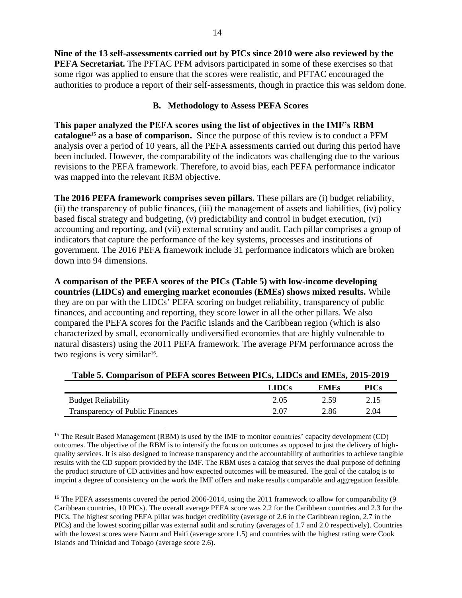**Nine of the 13 self-assessments carried out by PICs since 2010 were also reviewed by the PEFA Secretariat.** The PFTAC PFM advisors participated in some of these exercises so that some rigor was applied to ensure that the scores were realistic, and PFTAC encouraged the authorities to produce a report of their self-assessments, though in practice this was seldom done.

#### **B. Methodology to Assess PEFA Scores**

<span id="page-13-0"></span>**This paper analyzed the PEFA scores using the list of objectives in the IMF's RBM catalogue<sup>15</sup> as a base of comparison.** Since the purpose of this review is to conduct a PFM analysis over a period of 10 years, all the PEFA assessments carried out during this period have been included. However, the comparability of the indicators was challenging due to the various revisions to the PEFA framework. Therefore, to avoid bias, each PEFA performance indicator was mapped into the relevant RBM objective.

**The 2016 PEFA framework comprises seven pillars.** These pillars are (i) budget reliability, (ii) the transparency of public finances, (iii) the management of assets and liabilities, (iv) policy based fiscal strategy and budgeting, (v) predictability and control in budget execution, (vi) accounting and reporting, and (vii) external scrutiny and audit. Each pillar comprises a group of indicators that capture the performance of the key systems, processes and institutions of government. The 2016 PEFA framework include 31 performance indicators which are broken down into 94 dimensions.

**A comparison of the PEFA scores of the PICs (Table 5) with low-income developing countries (LIDCs) and emerging market economies (EMEs) shows mixed results.** While they are on par with the LIDCs' PEFA scoring on budget reliability, transparency of public finances, and accounting and reporting, they score lower in all the other pillars. We also compared the PEFA scores for the Pacific Islands and the Caribbean region (which is also characterized by small, economically undiversified economies that are highly vulnerable to natural disasters) using the 2011 PEFA framework. The average PFM performance across the two regions is very similar<sup>16</sup>.

|                                        | <b>LIDCs</b> | EMEs | PICs |
|----------------------------------------|--------------|------|------|
| <b>Budget Reliability</b>              | 2.05         | 2.59 | 2.15 |
| <b>Transparency of Public Finances</b> | 2.07         | 2.86 | 2.04 |

**Table 5. Comparison of PEFA scores Between PICs, LIDCs and EMEs, 2015-2019**

<sup>15</sup> The Result Based Management (RBM) is used by the IMF to monitor countries' capacity development (CD) outcomes. The objective of the RBM is to intensify the focus on outcomes as opposed to just the delivery of highquality services. It is also designed to increase transparency and the accountability of authorities to achieve tangible results with the CD support provided by the IMF. The RBM uses a catalog that serves the dual purpose of defining the product structure of CD activities and how expected outcomes will be measured. The goal of the catalog is to imprint a degree of consistency on the work the IMF offers and make results comparable and aggregation feasible.

<sup>16</sup> The PEFA assessments covered the period 2006-2014, using the 2011 framework to allow for comparability (9 Caribbean countries, 10 PICs). The overall average PEFA score was 2.2 for the Caribbean countries and 2.3 for the PICs. The highest scoring PEFA pillar was budget credibility (average of 2.6 in the Caribbean region, 2.7 in the PICs) and the lowest scoring pillar was external audit and scrutiny (averages of 1.7 and 2.0 respectively). Countries with the lowest scores were Nauru and Haiti (average score 1.5) and countries with the highest rating were Cook Islands and Trinidad and Tobago (average score 2.6).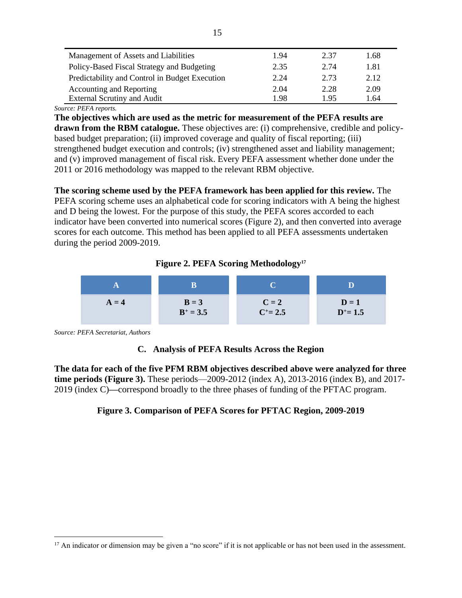| Management of Assets and Liabilities           | 1.94 | 2.37 | 1.68 |
|------------------------------------------------|------|------|------|
| Policy-Based Fiscal Strategy and Budgeting     | 2.35 | 2.74 | 1.81 |
| Predictability and Control in Budget Execution | 2.24 | 2.73 | 2.12 |
| <b>Accounting and Reporting</b>                | 2.04 | 2.28 | 2.09 |
| <b>External Scrutiny and Audit</b>             | 1.98 | 195  | 1.64 |

*Source: PEFA reports.*

**The objectives which are used as the metric for measurement of the PEFA results are drawn from the RBM catalogue.** These objectives are: (i) comprehensive, credible and policybased budget preparation; (ii) improved coverage and quality of fiscal reporting; (iii) strengthened budget execution and controls; (iv) strengthened asset and liability management; and (v) improved management of fiscal risk. Every PEFA assessment whether done under the 2011 or 2016 methodology was mapped to the relevant RBM objective.

**The scoring scheme used by the PEFA framework has been applied for this review.** The PEFA scoring scheme uses an alphabetical code for scoring indicators with A being the highest and D being the lowest. For the purpose of this study, the PEFA scores accorded to each indicator have been converted into numerical scores (Figure 2), and then converted into average scores for each outcome. This method has been applied to all PEFA assessments undertaken during the period 2009-2019.

#### **Figure 2. PEFA Scoring Methodology<sup>17</sup>**



<span id="page-14-0"></span>*Source: PEFA Secretariat, Authors*

#### **C. Analysis of PEFA Results Across the Region**

**The data for each of the five PFM RBM objectives described above were analyzed for three time periods (Figure 3).** These periods—2009-2012 (index A), 2013-2016 (index B), and 2017- 2019 (index C)**—**correspond broadly to the three phases of funding of the PFTAC program.

#### **Figure 3. Comparison of PEFA Scores for PFTAC Region, 2009-2019**

<sup>&</sup>lt;sup>17</sup> An indicator or dimension may be given a "no score" if it is not applicable or has not been used in the assessment.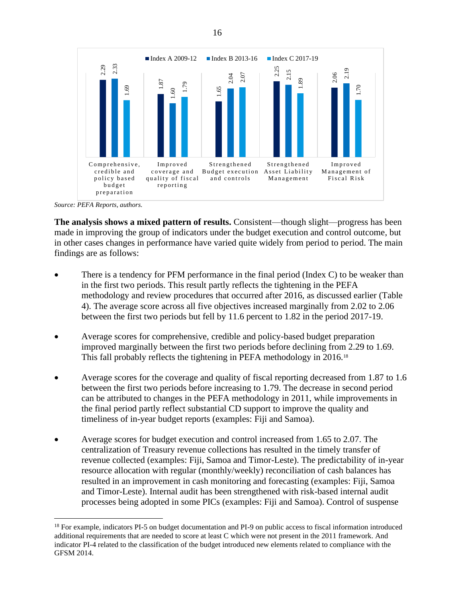

*Source: PEFA Reports, authors.*

**The analysis shows a mixed pattern of results.** Consistent—though slight—progress has been made in improving the group of indicators under the budget execution and control outcome, but in other cases changes in performance have varied quite widely from period to period. The main findings are as follows:

- There is a tendency for PFM performance in the final period (Index C) to be weaker than in the first two periods. This result partly reflects the tightening in the PEFA methodology and review procedures that occurred after 2016, as discussed earlier (Table 4). The average score across all five objectives increased marginally from 2.02 to 2.06 between the first two periods but fell by 11.6 percent to 1.82 in the period 2017-19.
- Average scores for comprehensive, credible and policy-based budget preparation improved marginally between the first two periods before declining from 2.29 to 1.69. This fall probably reflects the tightening in PEFA methodology in 2016.<sup>18</sup>
- Average scores for the coverage and quality of fiscal reporting decreased from 1.87 to 1.6 between the first two periods before increasing to 1.79. The decrease in second period can be attributed to changes in the PEFA methodology in 2011, while improvements in the final period partly reflect substantial CD support to improve the quality and timeliness of in-year budget reports (examples: Fiji and Samoa).
- Average scores for budget execution and control increased from 1.65 to 2.07. The centralization of Treasury revenue collections has resulted in the timely transfer of revenue collected (examples: Fiji, Samoa and Timor-Leste). The predictability of in-year resource allocation with regular (monthly/weekly) reconciliation of cash balances has resulted in an improvement in cash monitoring and forecasting (examples: Fiji, Samoa and Timor-Leste). Internal audit has been strengthened with risk-based internal audit processes being adopted in some PICs (examples: Fiji and Samoa). Control of suspense

<sup>&</sup>lt;sup>18</sup> For example, indicators PI-5 on budget documentation and PI-9 on public access to fiscal information introduced additional requirements that are needed to score at least C which were not present in the 2011 framework. And indicator PI-4 related to the classification of the budget introduced new elements related to compliance with the GFSM 2014.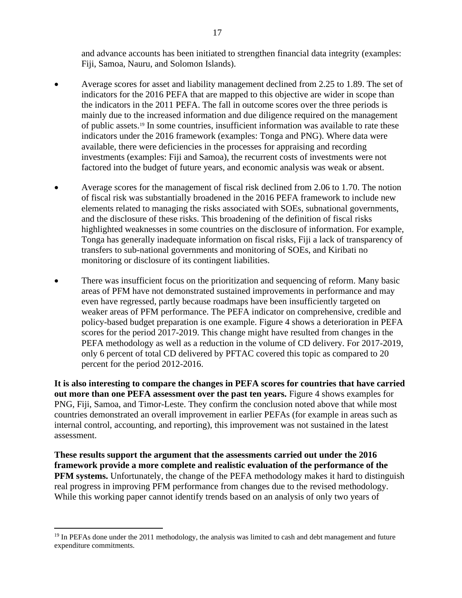and advance accounts has been initiated to strengthen financial data integrity (examples: Fiji, Samoa, Nauru, and Solomon Islands).

- Average scores for asset and liability management declined from 2.25 to 1.89. The set of indicators for the 2016 PEFA that are mapped to this objective are wider in scope than the indicators in the 2011 PEFA. The fall in outcome scores over the three periods is mainly due to the increased information and due diligence required on the management of public assets.<sup>19</sup> In some countries, insufficient information was available to rate these indicators under the 2016 framework (examples: Tonga and PNG). Where data were available, there were deficiencies in the processes for appraising and recording investments (examples: Fiji and Samoa), the recurrent costs of investments were not factored into the budget of future years, and economic analysis was weak or absent.
- Average scores for the management of fiscal risk declined from 2.06 to 1.70. The notion of fiscal risk was substantially broadened in the 2016 PEFA framework to include new elements related to managing the risks associated with SOEs, subnational governments, and the disclosure of these risks. This broadening of the definition of fiscal risks highlighted weaknesses in some countries on the disclosure of information. For example, Tonga has generally inadequate information on fiscal risks, Fiji a lack of transparency of transfers to sub-national governments and monitoring of SOEs, and Kiribati no monitoring or disclosure of its contingent liabilities.
- There was insufficient focus on the prioritization and sequencing of reform. Many basic areas of PFM have not demonstrated sustained improvements in performance and may even have regressed, partly because roadmaps have been insufficiently targeted on weaker areas of PFM performance. The PEFA indicator on comprehensive, credible and policy-based budget preparation is one example. Figure 4 shows a deterioration in PEFA scores for the period 2017-2019. This change might have resulted from changes in the PEFA methodology as well as a reduction in the volume of CD delivery. For 2017-2019, only 6 percent of total CD delivered by PFTAC covered this topic as compared to 20 percent for the period 2012-2016.

**It is also interesting to compare the changes in PEFA scores for countries that have carried out more than one PEFA assessment over the past ten years.** Figure 4 shows examples for PNG, Fiji, Samoa, and Timor-Leste. They confirm the conclusion noted above that while most countries demonstrated an overall improvement in earlier PEFAs (for example in areas such as internal control, accounting, and reporting), this improvement was not sustained in the latest assessment.

**These results support the argument that the assessments carried out under the 2016 framework provide a more complete and realistic evaluation of the performance of the PFM systems.** Unfortunately, the change of the PEFA methodology makes it hard to distinguish real progress in improving PFM performance from changes due to the revised methodology. While this working paper cannot identify trends based on an analysis of only two years of

<sup>&</sup>lt;sup>19</sup> In PEFAs done under the 2011 methodology, the analysis was limited to cash and debt management and future expenditure commitments.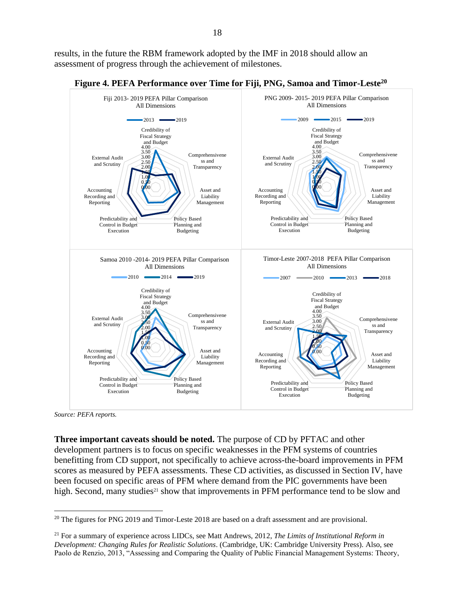results, in the future the RBM framework adopted by the IMF in 2018 should allow an assessment of progress through the achievement of milestones.



**Figure 4. PEFA Performance over Time for Fiji, PNG, Samoa and Timor-Leste<sup>20</sup>**

**Three important caveats should be noted.** The purpose of CD by PFTAC and other development partners is to focus on specific weaknesses in the PFM systems of countries benefitting from CD support, not specifically to achieve across-the-board improvements in PFM scores as measured by PEFA assessments. These CD activities, as discussed in Section IV, have been focused on specific areas of PFM where demand from the PIC governments have been high. Second, many studies<sup>21</sup> show that improvements in PFM performance tend to be slow and

*Source: PEFA reports.*

<sup>&</sup>lt;sup>20</sup> The figures for PNG 2019 and Timor-Leste 2018 are based on a draft assessment and are provisional.

<sup>21</sup> For a summary of experience across LIDCs, see Matt Andrews, 2012, *The Limits of Institutional Reform in Development: Changing Rules for Realistic Solutions*. (Cambridge, UK: Cambridge University Press). Also, see Paolo de Renzio, 2013, "Assessing and Comparing the Quality of Public Financial Management Systems: Theory,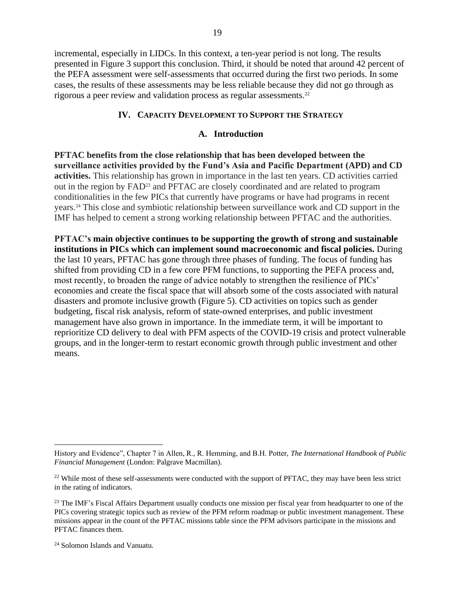incremental, especially in LIDCs. In this context, a ten-year period is not long. The results presented in Figure 3 support this conclusion. Third, it should be noted that around 42 percent of the PEFA assessment were self-assessments that occurred during the first two periods. In some cases, the results of these assessments may be less reliable because they did not go through as rigorous a peer review and validation process as regular assessments. 22

#### **IV. CAPACITY DEVELOPMENT TO SUPPORT THE STRATEGY**

#### **A. Introduction**

<span id="page-18-1"></span><span id="page-18-0"></span>**PFTAC benefits from the close relationship that has been developed between the surveillance activities provided by the Fund's Asia and Pacific Department (APD) and CD activities.** This relationship has grown in importance in the last ten years. CD activities carried out in the region by FAD<sup>23</sup> and PFTAC are closely coordinated and are related to program conditionalities in the few PICs that currently have programs or have had programs in recent years. <sup>24</sup> This close and symbiotic relationship between surveillance work and CD support in the IMF has helped to cement a strong working relationship between PFTAC and the authorities.

**PFTAC's main objective continues to be supporting the growth of strong and sustainable institutions in PICs which can implement sound macroeconomic and fiscal policies.** During the last 10 years, PFTAC has gone through three phases of funding. The focus of funding has shifted from providing CD in a few core PFM functions, to supporting the PEFA process and, most recently, to broaden the range of advice notably to strengthen the resilience of PICs' economies and create the fiscal space that will absorb some of the costs associated with natural disasters and promote inclusive growth (Figure 5). CD activities on topics such as gender budgeting, fiscal risk analysis, reform of state-owned enterprises, and public investment management have also grown in importance. In the immediate term, it will be important to reprioritize CD delivery to deal with PFM aspects of the COVID-19 crisis and protect vulnerable groups, and in the longer-term to restart economic growth through public investment and other means.

History and Evidence", Chapter 7 in Allen, R., R. Hemming, and B.H. Potter, *The International Handbook of Public Financial Management* (London: Palgrave Macmillan).

<sup>&</sup>lt;sup>22</sup> While most of these self-assessments were conducted with the support of PFTAC, they may have been less strict in the rating of indicators.

<sup>&</sup>lt;sup>23</sup> The IMF's Fiscal Affairs Department usually conducts one mission per fiscal year from headquarter to one of the PICs covering strategic topics such as review of the PFM reform roadmap or public investment management. These missions appear in the count of the PFTAC missions table since the PFM advisors participate in the missions and PFTAC finances them.

<sup>24</sup> Solomon Islands and Vanuatu.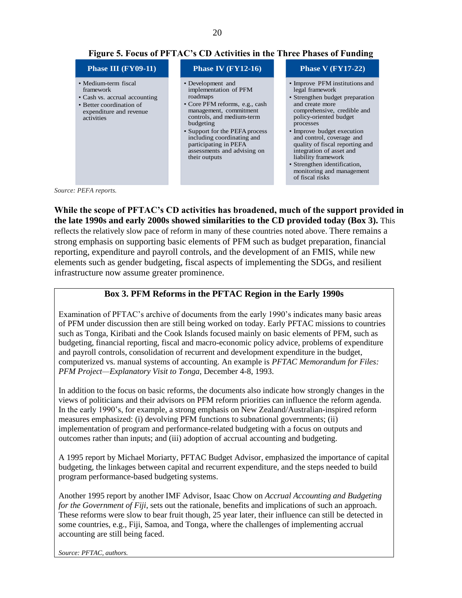| Phase III (FY09-11)                                                                                                                     | <b>Phase IV (FY12-16)</b>                                                                                                                                                                                                                                                                             | <b>Phase V (FY17-22)</b>                                                                                                                                                                                                                                                                                                                                                                                       |
|-----------------------------------------------------------------------------------------------------------------------------------------|-------------------------------------------------------------------------------------------------------------------------------------------------------------------------------------------------------------------------------------------------------------------------------------------------------|----------------------------------------------------------------------------------------------------------------------------------------------------------------------------------------------------------------------------------------------------------------------------------------------------------------------------------------------------------------------------------------------------------------|
| • Medium-term fiscal<br>framework<br>• Cash vs. accrual accounting<br>• Better coordination of<br>expenditure and revenue<br>activities | • Development and<br>implementation of PFM<br>roadmaps<br>• Core PFM reforms, e.g., cash<br>management, commitment<br>controls, and medium-term<br>budgeting<br>• Support for the PEFA process<br>including coordinating and<br>participating in PEFA<br>assessments and advising on<br>their outputs | • Improve PFM institutions and<br>legal framework<br>• Strengthen budget preparation<br>and create more<br>comprehensive, credible and<br>policy-oriented budget<br>processes<br>• Improve budget execution<br>and control, coverage and<br>quality of fiscal reporting and<br>integration of asset and<br>liability framework<br>• Strengthen identification,<br>monitoring and management<br>of fiscal risks |

*Source: PEFA reports.*

**While the scope of PFTAC's CD activities has broadened, much of the support provided in the late 1990s and early 2000s showed similarities to the CD provided today (Box 3).** This reflects the relatively slow pace of reform in many of these countries noted above. There remains a strong emphasis on supporting basic elements of PFM such as budget preparation, financial reporting, expenditure and payroll controls, and the development of an FMIS, while new elements such as gender budgeting, fiscal aspects of implementing the SDGs, and resilient infrastructure now assume greater prominence.

#### **Box 3. PFM Reforms in the PFTAC Region in the Early 1990s**

Examination of PFTAC's archive of documents from the early 1990's indicates many basic areas of PFM under discussion then are still being worked on today. Early PFTAC missions to countries such as Tonga, Kiribati and the Cook Islands focused mainly on basic elements of PFM, such as budgeting, financial reporting, fiscal and macro-economic policy advice, problems of expenditure and payroll controls, consolidation of recurrent and development expenditure in the budget, computerized vs. manual systems of accounting. An example is *PFTAC Memorandum for Files: PFM Project—Explanatory Visit to Tonga,* December 4-8, 1993.

In addition to the focus on basic reforms, the documents also indicate how strongly changes in the views of politicians and their advisors on PFM reform priorities can influence the reform agenda. In the early 1990's, for example, a strong emphasis on New Zealand/Australian-inspired reform measures emphasized: (i) devolving PFM functions to subnational governments; (ii) implementation of program and performance-related budgeting with a focus on outputs and outcomes rather than inputs; and (iii) adoption of accrual accounting and budgeting.

A 1995 report by Michael Moriarty, PFTAC Budget Advisor, emphasized the importance of capital budgeting, the linkages between capital and recurrent expenditure, and the steps needed to build program performance-based budgeting systems.

Another 1995 report by another IMF Advisor, Isaac Chow on *Accrual Accounting and Budgeting for the Government of Fiji*, sets out the rationale, benefits and implications of such an approach. These reforms were slow to bear fruit though, 25 year later, their influence can still be detected in some countries, e.g., Fiji, Samoa, and Tonga, where the challenges of implementing accrual accounting are still being faced.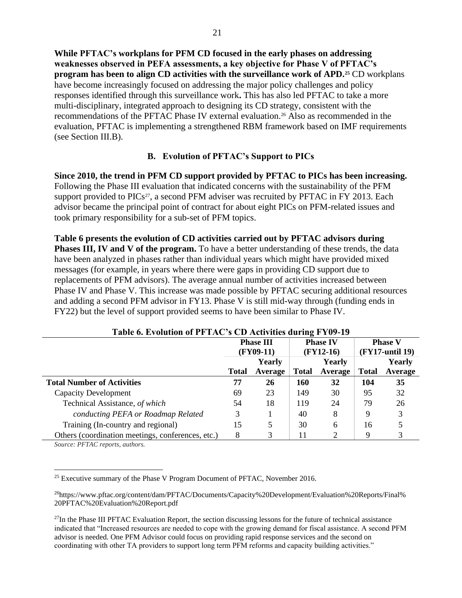**While PFTAC's workplans for PFM CD focused in the early phases on addressing weaknesses observed in PEFA assessments, a key objective for Phase V of PFTAC's program has been to align CD activities with the surveillance work of APD.<sup>25</sup>** CD workplans have become increasingly focused on addressing the major policy challenges and policy responses identified through this surveillance work**.** This has also led PFTAC to take a more multi-disciplinary, integrated approach to designing its CD strategy, consistent with the recommendations of the PFTAC Phase IV external evaluation.<sup>26</sup> Also as recommended in the evaluation, PFTAC is implementing a strengthened RBM framework based on IMF requirements (see Section III.B).

## **B. Evolution of PFTAC's Support to PICs**

<span id="page-20-0"></span>**Since 2010, the trend in PFM CD support provided by PFTAC to PICs has been increasing.**  Following the Phase III evaluation that indicated concerns with the sustainability of the PFM support provided to PICs<sup>27</sup>, a second PFM adviser was recruited by PFTAC in FY 2013. Each advisor became the principal point of contract for about eight PICs on PFM-related issues and took primary responsibility for a sub-set of PFM topics.

**Table 6 presents the evolution of CD activities carried out by PFTAC advisors during Phases III, IV and V of the program.** To have a better understanding of these trends, the data have been analyzed in phases rather than individual years which might have provided mixed messages (for example, in years where there were gaps in providing CD support due to replacements of PFM advisors). The average annual number of activities increased between Phase IV and Phase V. This increase was made possible by PFTAC securing additional resources and adding a second PFM advisor in FY13. Phase V is still mid-way through (funding ends in FY22) but the level of support provided seems to have been similar to Phase IV.

|                                                   |              | <b>Phase III</b><br>$(FY09-11)$ | -            | <b>Phase IV</b><br>$(FY12-16)$ | <b>Phase V</b><br>$(FY17$ -until 19) |                   |
|---------------------------------------------------|--------------|---------------------------------|--------------|--------------------------------|--------------------------------------|-------------------|
|                                                   | <b>Total</b> | Yearly<br>Average               | <b>Total</b> | Yearly<br>Average              | <b>Total</b>                         | Yearly<br>Average |
| <b>Total Number of Activities</b>                 | 77           | 26                              | 160          | 32                             | 104                                  | 35                |
| <b>Capacity Development</b>                       | 69           | 23                              | 149          | 30                             | 95                                   | 32                |
| Technical Assistance, of which                    | 54           | 18                              | 119          | 24                             | 79                                   | 26                |
| conducting PEFA or Roadmap Related                | 3            |                                 | 40           | 8                              | 9                                    | 3                 |
| Training (In-country and regional)                | 15           |                                 | 30           | 6                              | 16                                   |                   |
| Others (coordination meetings, conferences, etc.) | 8            | 3                               | 11           | $\mathcal{D}_{\mathcal{L}}$    | 9                                    | 3                 |

#### **Table 6. Evolution of PFTAC's CD Activities during FY09-19**

*Source: PFTAC reports, authors.* 

 $25$  Executive summary of th[e Phase V Program Document of PFTAC,](https://www.pftac.org/content/dam/PFTAC/Documents/Capacity%20Development/Program%20Documents/1700201_COVER_PFTAC%20PROGRAM%20DOCUMENT_A4_PRINT.pdf) November 2016.

<sup>26</sup>[https://www.pftac.org/content/dam/PFTAC/Documents/Capacity%20Development/Evaluation%20Reports/Final%](https://www.pftac.org/content/dam/PFTAC/Documents/Capacity%20Development/Evaluation%20Reports/Final%20PFTAC%20Evaluation%20Report.pdf) [20PFTAC%20Evaluation%20Report.pdf](https://www.pftac.org/content/dam/PFTAC/Documents/Capacity%20Development/Evaluation%20Reports/Final%20PFTAC%20Evaluation%20Report.pdf)

 $^{27}$ [In the Phase III PFTAC Evaluation Report,](https://www.imf.org/~/media/Files/Publications/PP/PP4251-Technical-Assistance-Evaluation-Program-Findings-of-Evaluations-and-Updated-Program.ashx) the section discussing lessons for the future of technical assistance indicated that "Increased resources are needed to cope with the growing demand for fiscal assistance. A second PFM advisor is needed. One PFM Advisor could focus on providing rapid response services and the second on coordinating with other TA providers to support long term PFM reforms and capacity building activities."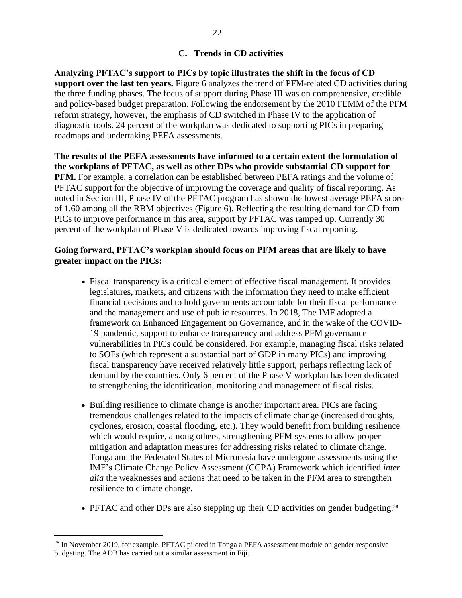#### **C. Trends in CD activities**

<span id="page-21-0"></span>**Analyzing PFTAC's support to PICs by topic illustrates the shift in the focus of CD support over the last ten years.** Figure 6 analyzes the trend of PFM-related CD activities during the three funding phases. The focus of support during Phase III was on comprehensive, credible and policy-based budget preparation. Following the endorsement by the 2010 FEMM of the PFM reform strategy, however, the emphasis of CD switched in Phase IV to the application of diagnostic tools. 24 percent of the workplan was dedicated to supporting PICs in preparing roadmaps and undertaking PEFA assessments.

**The results of the PEFA assessments have informed to a certain extent the formulation of the workplans of PFTAC, as well as other DPs who provide substantial CD support for PFM.** For example, a correlation can be established between PEFA ratings and the volume of PFTAC support for the objective of improving the coverage and quality of fiscal reporting. As noted in Section III, Phase IV of the PFTAC program has shown the lowest average PEFA score of 1.60 among all the RBM objectives (Figure 6). Reflecting the resulting demand for CD from PICs to improve performance in this area, support by PFTAC was ramped up. Currently 30 percent of the workplan of Phase V is dedicated towards improving fiscal reporting.

#### **Going forward, PFTAC's workplan should focus on PFM areas that are likely to have greater impact on the PICs:**

- Fiscal transparency is a critical element of effective fiscal management. It provides legislatures, markets, and citizens with the information they need to make efficient financial decisions and to hold governments accountable for their fiscal performance and the management and use of public resources. In 2018, The IMF adopted a framework on Enhanced Engagement on Governance, and in the wake of the COVID-19 pandemic, support to enhance transparency and address PFM governance vulnerabilities in PICs could be considered. For example, managing fiscal risks related to SOEs (which represent a substantial part of GDP in many PICs) and improving fiscal transparency have received relatively little support, perhaps reflecting lack of demand by the countries. Only 6 percent of the Phase V workplan has been dedicated to strengthening the identification, monitoring and management of fiscal risks.
- Building resilience to climate change is another important area. PICs are facing tremendous challenges related to the impacts of climate change (increased droughts, cyclones, erosion, coastal flooding, etc.). They would benefit from building resilience which would require, among others, strengthening PFM systems to allow proper mitigation and adaptation measures for addressing risks related to climate change. Tonga and the Federated States of Micronesia have undergone assessments using the IMF's Climate Change Policy Assessment (CCPA) Framework which identified *inter alia* the weaknesses and actions that need to be taken in the PFM area to strengthen resilience to climate change.
- PFTAC and other DPs are also stepping up their CD activities on gender budgeting.<sup>28</sup>

<sup>&</sup>lt;sup>28</sup> In November 2019, for example, PFTAC piloted in Tonga a PEFA assessment module on gender responsive budgeting. The ADB has carried out a similar assessment in Fiji.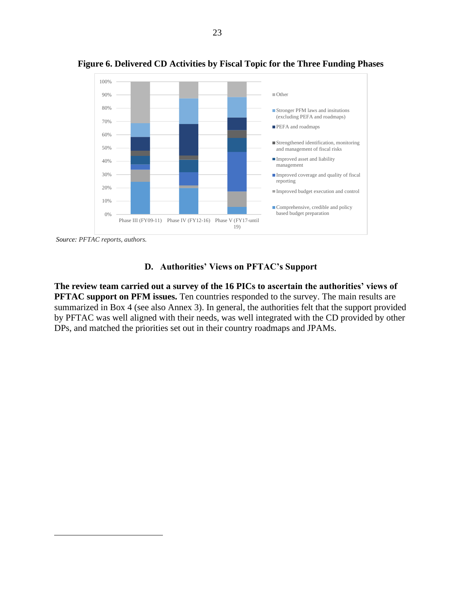

**Figure 6. Delivered CD Activities by Fiscal Topic for the Three Funding Phases**

*Source: PFTAC reports, authors.*

#### **D. Authorities' Views on PFTAC's Support**

<span id="page-22-0"></span>**The review team carried out a survey of the 16 PICs to ascertain the authorities' views of PFTAC support on PFM issues.** Ten countries responded to the survey. The main results are summarized in Box 4 (see also Annex 3). In general, the authorities felt that the support provided by PFTAC was well aligned with their needs, was well integrated with the CD provided by other DPs, and matched the priorities set out in their country roadmaps and JPAMs.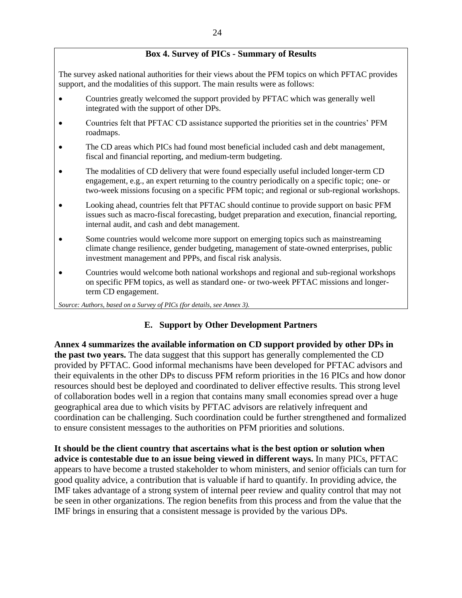#### **Box 4. Survey of PICs - Summary of Results**

The survey asked national authorities for their views about the PFM topics on which PFTAC provides support, and the modalities of this support. The main results were as follows:

- Countries greatly welcomed the support provided by PFTAC which was generally well integrated with the support of other DPs.
- Countries felt that PFTAC CD assistance supported the priorities set in the countries' PFM roadmaps.
- The CD areas which PICs had found most beneficial included cash and debt management, fiscal and financial reporting, and medium-term budgeting.
- The modalities of CD delivery that were found especially useful included longer-term CD engagement, e.g., an expert returning to the country periodically on a specific topic; one- or two-week missions focusing on a specific PFM topic; and regional or sub-regional workshops.
- Looking ahead, countries felt that PFTAC should continue to provide support on basic PFM issues such as macro-fiscal forecasting, budget preparation and execution, financial reporting, internal audit, and cash and debt management.
- Some countries would welcome more support on emerging topics such as mainstreaming climate change resilience, gender budgeting, management of state-owned enterprises, public investment management and PPPs, and fiscal risk analysis.
- Countries would welcome both national workshops and regional and sub-regional workshops on specific PFM topics, as well as standard one- or two-week PFTAC missions and longerterm CD engagement.

<span id="page-23-0"></span>*Source: Authors, based on a Survey of PICs (for details, see Annex 3).*

#### **E. Support by Other Development Partners**

**Annex 4 summarizes the available information on CD support provided by other DPs in the past two years.** The data suggest that this support has generally complemented the CD provided by PFTAC. Good informal mechanisms have been developed for PFTAC advisors and their equivalents in the other DPs to discuss PFM reform priorities in the 16 PICs and how donor resources should best be deployed and coordinated to deliver effective results. This strong level of collaboration bodes well in a region that contains many small economies spread over a huge geographical area due to which visits by PFTAC advisors are relatively infrequent and coordination can be challenging. Such coordination could be further strengthened and formalized to ensure consistent messages to the authorities on PFM priorities and solutions.

**It should be the client country that ascertains what is the best option or solution when advice is contestable due to an issue being viewed in different ways.** In many PICs, PFTAC appears to have become a trusted stakeholder to whom ministers, and senior officials can turn for good quality advice, a contribution that is valuable if hard to quantify. In providing advice, the IMF takes advantage of a strong system of internal peer review and quality control that may not be seen in other organizations. The region benefits from this process and from the value that the IMF brings in ensuring that a consistent message is provided by the various DPs.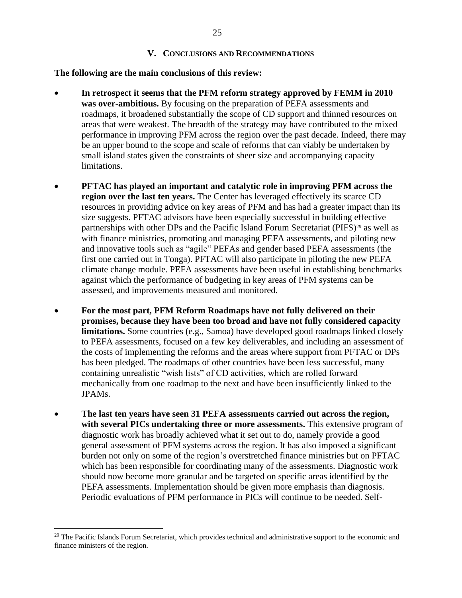#### **V. CONCLUSIONS AND RECOMMENDATIONS**

<span id="page-24-0"></span>**The following are the main conclusions of this review:**

- **In retrospect it seems that the PFM reform strategy approved by FEMM in 2010 was over-ambitious.** By focusing on the preparation of PEFA assessments and roadmaps, it broadened substantially the scope of CD support and thinned resources on areas that were weakest. The breadth of the strategy may have contributed to the mixed performance in improving PFM across the region over the past decade. Indeed, there may be an upper bound to the scope and scale of reforms that can viably be undertaken by small island states given the constraints of sheer size and accompanying capacity limitations.
- **PFTAC has played an important and catalytic role in improving PFM across the region over the last ten years.** The Center has leveraged effectively its scarce CD resources in providing advice on key areas of PFM and has had a greater impact than its size suggests. PFTAC advisors have been especially successful in building effective partnerships with other DPs and the Pacific Island Forum Secretariat (PIFS) <sup>29</sup> as well as with finance ministries, promoting and managing PEFA assessments, and piloting new and innovative tools such as "agile" PEFAs and gender based PEFA assessments (the first one carried out in Tonga). PFTAC will also participate in piloting the new PEFA climate change module. PEFA assessments have been useful in establishing benchmarks against which the performance of budgeting in key areas of PFM systems can be assessed, and improvements measured and monitored.
- **For the most part, PFM Reform Roadmaps have not fully delivered on their promises, because they have been too broad and have not fully considered capacity limitations.** Some countries (e.g., Samoa) have developed good roadmaps linked closely to PEFA assessments, focused on a few key deliverables, and including an assessment of the costs of implementing the reforms and the areas where support from PFTAC or DPs has been pledged. The roadmaps of other countries have been less successful, many containing unrealistic "wish lists" of CD activities, which are rolled forward mechanically from one roadmap to the next and have been insufficiently linked to the JPAMs.
- **The last ten years have seen 31 PEFA assessments carried out across the region, with several PICs undertaking three or more assessments.** This extensive program of diagnostic work has broadly achieved what it set out to do, namely provide a good general assessment of PFM systems across the region. It has also imposed a significant burden not only on some of the region's overstretched finance ministries but on PFTAC which has been responsible for coordinating many of the assessments. Diagnostic work should now become more granular and be targeted on specific areas identified by the PEFA assessments. Implementation should be given more emphasis than diagnosis. Periodic evaluations of PFM performance in PICs will continue to be needed. Self-

 $29$  The Pacific Islands Forum Secretariat, which provides technical and administrative support to the economic and finance ministers of the region.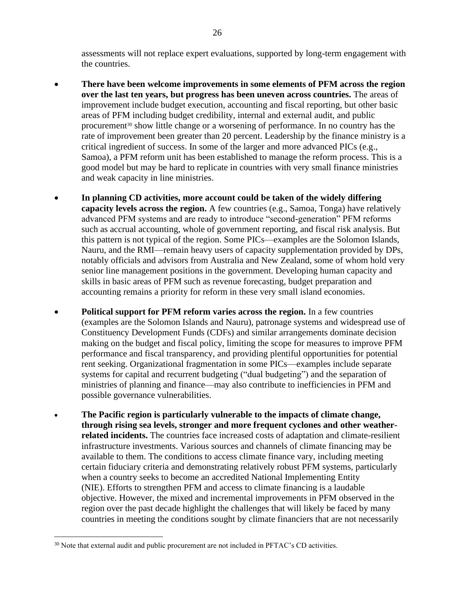assessments will not replace expert evaluations, supported by long-term engagement with the countries.

- **There have been welcome improvements in some elements of PFM across the region over the last ten years, but progress has been uneven across countries.** The areas of improvement include budget execution, accounting and fiscal reporting, but other basic areas of PFM including budget credibility, internal and external audit, and public procurement<sup>30</sup> show little change or a worsening of performance. In no country has the rate of improvement been greater than 20 percent. Leadership by the finance ministry is a critical ingredient of success. In some of the larger and more advanced PICs (e.g., Samoa), a PFM reform unit has been established to manage the reform process. This is a good model but may be hard to replicate in countries with very small finance ministries and weak capacity in line ministries.
- **In planning CD activities, more account could be taken of the widely differing capacity levels across the region.** A few countries (e.g., Samoa, Tonga) have relatively advanced PFM systems and are ready to introduce "second-generation" PFM reforms such as accrual accounting, whole of government reporting, and fiscal risk analysis. But this pattern is not typical of the region. Some PICs—examples are the Solomon Islands, Nauru, and the RMI—remain heavy users of capacity supplementation provided by DPs, notably officials and advisors from Australia and New Zealand, some of whom hold very senior line management positions in the government. Developing human capacity and skills in basic areas of PFM such as revenue forecasting, budget preparation and accounting remains a priority for reform in these very small island economies.
- **Political support for PFM reform varies across the region.** In a few countries (examples are the Solomon Islands and Nauru), patronage systems and widespread use of Constituency Development Funds (CDFs) and similar arrangements dominate decision making on the budget and fiscal policy, limiting the scope for measures to improve PFM performance and fiscal transparency, and providing plentiful opportunities for potential rent seeking. Organizational fragmentation in some PICs—examples include separate systems for capital and recurrent budgeting ("dual budgeting") and the separation of ministries of planning and finance—may also contribute to inefficiencies in PFM and possible governance vulnerabilities.
- **The Pacific region is particularly vulnerable to the impacts of climate change, through rising sea levels, stronger and more frequent cyclones and other weatherrelated incidents.** The countries face increased costs of adaptation and climate-resilient infrastructure investments. Various sources and channels of climate financing may be available to them. The conditions to access climate finance vary, including meeting certain fiduciary criteria and demonstrating relatively robust PFM systems, particularly when a country seeks to become an accredited National Implementing Entity (NIE). Efforts to strengthen PFM and access to climate financing is a laudable objective. However, the mixed and incremental improvements in PFM observed in the region over the past decade highlight the challenges that will likely be faced by many countries in meeting the conditions sought by climate financiers that are not necessarily

<sup>&</sup>lt;sup>30</sup> Note that external audit and public procurement are not included in PFTAC's CD activities.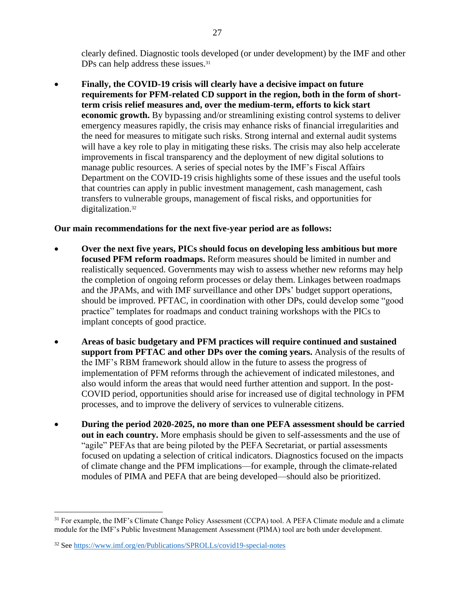clearly defined. Diagnostic tools developed (or under development) by the IMF and other DPs can help address these issues.<sup>31</sup>

• **Finally, the COVID-19 crisis will clearly have a decisive impact on future requirements for PFM-related CD support in the region, both in the form of shortterm crisis relief measures and, over the medium-term, efforts to kick start economic growth.** By bypassing and/or streamlining existing control systems to deliver emergency measures rapidly, the crisis may enhance risks of financial irregularities and the need for measures to mitigate such risks. Strong internal and external audit systems will have a key role to play in mitigating these risks. The crisis may also help accelerate improvements in fiscal transparency and the deployment of new digital solutions to manage public resources. A series of special notes by the IMF's Fiscal Affairs Department on the COVID-19 crisis highlights some of these issues and the useful tools that countries can apply in public investment management, cash management, cash transfers to vulnerable groups, management of fiscal risks, and opportunities for digitalization.<sup>32</sup>

#### **Our main recommendations for the next five-year period are as follows:**

- **Over the next five years, PICs should focus on developing less ambitious but more focused PFM reform roadmaps.** Reform measures should be limited in number and realistically sequenced. Governments may wish to assess whether new reforms may help the completion of ongoing reform processes or delay them. Linkages between roadmaps and the JPAMs, and with IMF surveillance and other DPs' budget support operations, should be improved. PFTAC, in coordination with other DPs, could develop some "good practice" templates for roadmaps and conduct training workshops with the PICs to implant concepts of good practice.
- **Areas of basic budgetary and PFM practices will require continued and sustained support from PFTAC and other DPs over the coming years.** Analysis of the results of the IMF's RBM framework should allow in the future to assess the progress of implementation of PFM reforms through the achievement of indicated milestones, and also would inform the areas that would need further attention and support. In the post-COVID period, opportunities should arise for increased use of digital technology in PFM processes, and to improve the delivery of services to vulnerable citizens.
- **During the period 2020-2025, no more than one PEFA assessment should be carried out in each country.** More emphasis should be given to self-assessments and the use of "agile" PEFAs that are being piloted by the PEFA Secretariat, or partial assessments focused on updating a selection of critical indicators. Diagnostics focused on the impacts of climate change and the PFM implications—for example, through the climate-related modules of PIMA and PEFA that are being developed—should also be prioritized.

<sup>&</sup>lt;sup>31</sup> For example, the IMF's Climate Change Policy Assessment (CCPA) tool. A PEFA Climate module and a climate module for the IMF's Public Investment Management Assessment (PIMA) tool are both under development.

<sup>32</sup> See<https://www.imf.org/en/Publications/SPROLLs/covid19-special-notes>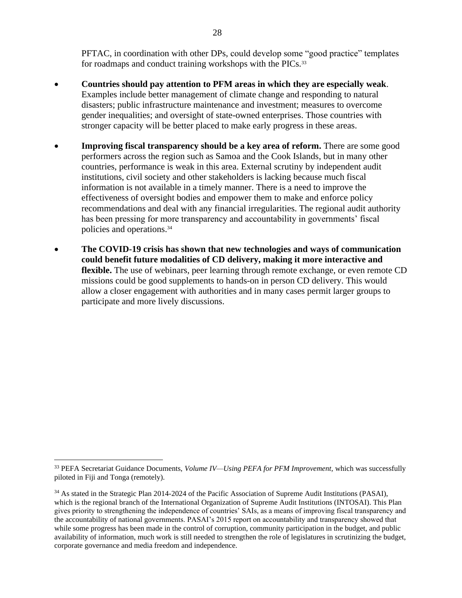PFTAC, in coordination with other DPs, could develop some "good practice" templates for roadmaps and conduct training workshops with the PICs.<sup>33</sup>

- **Countries should pay attention to PFM areas in which they are especially weak**. Examples include better management of climate change and responding to natural disasters; public infrastructure maintenance and investment; measures to overcome gender inequalities; and oversight of state-owned enterprises. Those countries with stronger capacity will be better placed to make early progress in these areas.
- **Improving fiscal transparency should be a key area of reform.** There are some good performers across the region such as Samoa and the Cook Islands, but in many other countries, performance is weak in this area. External scrutiny by independent audit institutions, civil society and other stakeholders is lacking because much fiscal information is not available in a timely manner. There is a need to improve the effectiveness of oversight bodies and empower them to make and enforce policy recommendations and deal with any financial irregularities. The regional audit authority has been pressing for more transparency and accountability in governments' fiscal policies and operations.<sup>34</sup>
- **The COVID-19 crisis has shown that new technologies and ways of communication could benefit future modalities of CD delivery, making it more interactive and flexible.** The use of webinars, peer learning through remote exchange, or even remote CD missions could be good supplements to hands-on in person CD delivery. This would allow a closer engagement with authorities and in many cases permit larger groups to participate and more lively discussions.

<sup>33</sup> PEFA Secretariat Guidance Documents, *Volume IV—Using PEFA for PFM Improvement,* which was successfully piloted in Fiji and Tonga (remotely).

<sup>34</sup> As stated in the Strategic Plan 2014-2024 of the Pacific Association of Supreme Audit Institutions (PASAI), which is the regional branch of the International Organization of Supreme Audit Institutions (INTOSAI). This Plan gives priority to strengthening the independence of countries' SAIs, as a means of improving fiscal transparency and the accountability of national governments. PASAI's 2015 report on accountability and transparency showed that while some progress has been made in the control of corruption, community participation in the budget, and public availability of information, much work is still needed to strengthen the role of legislatures in scrutinizing the budget, corporate governance and media freedom and independence.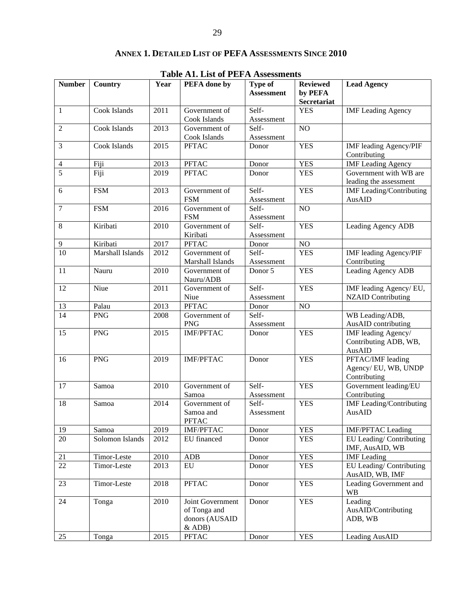| <b>Table A1. List of PEFA Assessments</b> |                  |      |                                                              |                                     |                                           |                                                          |  |  |
|-------------------------------------------|------------------|------|--------------------------------------------------------------|-------------------------------------|-------------------------------------------|----------------------------------------------------------|--|--|
| <b>Number</b>                             | <b>Country</b>   | Year | PEFA done by                                                 | <b>Type of</b><br><b>Assessment</b> | <b>Reviewed</b><br>by PEFA<br>Secretariat | <b>Lead Agency</b>                                       |  |  |
| $\mathbf{1}$                              | Cook Islands     | 2011 | Government of<br>Cook Islands                                | Self-<br>Assessment                 | <b>YES</b>                                | <b>IMF</b> Leading Agency                                |  |  |
| $\overline{2}$                            | Cook Islands     | 2013 | Government of<br>Cook Islands                                | Self-<br>Assessment                 | NO                                        |                                                          |  |  |
| $\mathfrak{Z}$                            | Cook Islands     | 2015 | <b>PFTAC</b>                                                 | Donor                               | <b>YES</b>                                | <b>IMF</b> leading Agency/PIF<br>Contributing            |  |  |
| $\overline{4}$                            | Fiji             | 2013 | <b>PFTAC</b>                                                 | Donor                               | <b>YES</b>                                | <b>IMF</b> Leading Agency                                |  |  |
| 5                                         | Fiji             | 2019 | <b>PFTAC</b>                                                 | Donor                               | <b>YES</b>                                | Government with WB are<br>leading the assessment         |  |  |
| 6                                         | <b>FSM</b>       | 2013 | Government of<br><b>FSM</b>                                  | Self-<br>Assessment                 | <b>YES</b>                                | <b>IMF</b> Leading/Contributing<br>AusAID                |  |  |
| $\overline{7}$                            | <b>FSM</b>       | 2016 | Government of<br><b>FSM</b>                                  | Self-<br>Assessment                 | NO                                        |                                                          |  |  |
| 8                                         | Kiribati         | 2010 | Government of<br>Kiribati                                    | Self-<br>Assessment                 | <b>YES</b>                                | Leading Agency ADB                                       |  |  |
| $\overline{9}$                            | Kiribati         | 2017 | <b>PFTAC</b>                                                 | Donor                               | NO                                        |                                                          |  |  |
| $\overline{10}$                           | Marshall Islands | 2012 | Government of<br>Marshall Islands                            | Self-<br>Assessment                 | <b>YES</b>                                | IMF leading Agency/PIF<br>Contributing                   |  |  |
| 11                                        | Nauru            | 2010 | Government of<br>Nauru/ADB                                   | Donor 5                             | <b>YES</b>                                | Leading Agency ADB                                       |  |  |
| 12                                        | Niue             | 2011 | Government of<br>Niue                                        | Self-<br>Assessment                 | <b>YES</b>                                | IMF leading Agency/EU,<br><b>NZAID Contributing</b>      |  |  |
| 13                                        | Palau            | 2013 | <b>PFTAC</b>                                                 | Donor                               | NO                                        |                                                          |  |  |
| $\overline{14}$                           | <b>PNG</b>       | 2008 | Government of<br><b>PNG</b>                                  | Self-<br>Assessment                 |                                           | WB Leading/ADB,<br>AusAID contributing                   |  |  |
| 15                                        | <b>PNG</b>       | 2015 | <b>IMF/PFTAC</b>                                             | Donor                               | <b>YES</b>                                | IMF leading Agency/<br>Contributing ADB, WB,<br>AusAID   |  |  |
| 16                                        | <b>PNG</b>       | 2019 | <b>IMF/PFTAC</b>                                             | Donor                               | <b>YES</b>                                | PFTAC/IMF leading<br>Agency/EU, WB, UNDP<br>Contributing |  |  |
| 17                                        | Samoa            | 2010 | Government of<br>Samoa                                       | Self-<br>Assessment                 | <b>YES</b>                                | Government leading/EU<br>Contributing                    |  |  |
| 18                                        | Samoa            | 2014 | Government of<br>Samoa and<br><b>PFTAC</b>                   | Self-<br>Assessment                 | <b>YES</b>                                | <b>IMF</b> Leading/Contributing<br>AusAID                |  |  |
| 19                                        | Samoa            | 2019 | IMF/PFTAC                                                    | Donor                               | <b>YES</b>                                | <b>IMF/PFTAC Leading</b>                                 |  |  |
| 20                                        | Solomon Islands  | 2012 | EU financed                                                  | Donor                               | <b>YES</b>                                | EU Leading/Contributing<br>IMF, AusAID, WB               |  |  |
| 21                                        | Timor-Leste      | 2010 | ADB                                                          | Donor                               | <b>YES</b>                                | <b>IMF</b> Leading                                       |  |  |
| $\overline{22}$                           | Timor-Leste      | 2013 | EU                                                           | Donor                               | <b>YES</b>                                | EU Leading/Contributing<br>AusAID, WB, IMF               |  |  |
| 23                                        | Timor-Leste      | 2018 | <b>PFTAC</b>                                                 | Donor                               | <b>YES</b>                                | Leading Government and<br><b>WB</b>                      |  |  |
| 24                                        | Tonga            | 2010 | Joint Government<br>of Tonga and<br>donors (AUSAID<br>& ADB) | Donor                               | <b>YES</b>                                | Leading<br>AusAID/Contributing<br>ADB, WB                |  |  |
| 25                                        | Tonga            | 2015 | <b>PFTAC</b>                                                 | Donor                               | <b>YES</b>                                | Leading AusAID                                           |  |  |

#### **ANNEX 1. DETAILED LIST OF PEFA ASSESSMENTS SINCE 2010**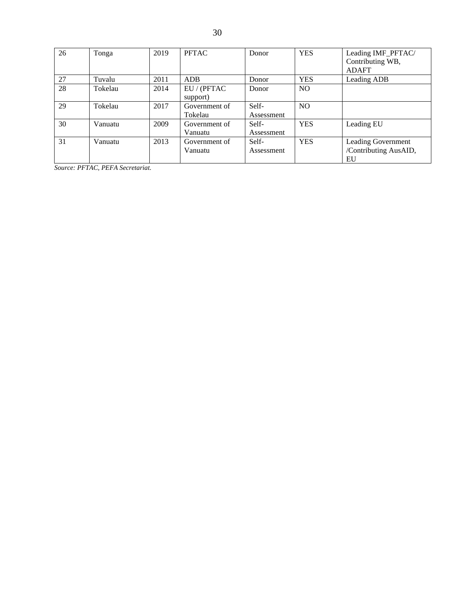| 26 | Tonga   | 2019 | PFTAC                    | Donor               | <b>YES</b>     | Leading IMF_PFTAC/<br>Contributing WB,<br><b>ADAFT</b> |
|----|---------|------|--------------------------|---------------------|----------------|--------------------------------------------------------|
| 27 | Tuvalu  | 2011 | <b>ADB</b>               | Donor               | <b>YES</b>     | Leading ADB                                            |
| 28 | Tokelau | 2014 | EU / (PFTAC<br>support)  | Donor               | N <sub>O</sub> |                                                        |
| 29 | Tokelau | 2017 | Government of<br>Tokelau | Self-<br>Assessment | N <sub>O</sub> |                                                        |
| 30 | Vanuatu | 2009 | Government of<br>Vanuatu | Self-<br>Assessment | <b>YES</b>     | Leading EU                                             |
| 31 | Vanuatu | 2013 | Government of<br>Vanuatu | Self-<br>Assessment | <b>YES</b>     | Leading Government<br>/Contributing AusAID,<br>EU      |

*Source: PFTAC, PEFA Secretariat.*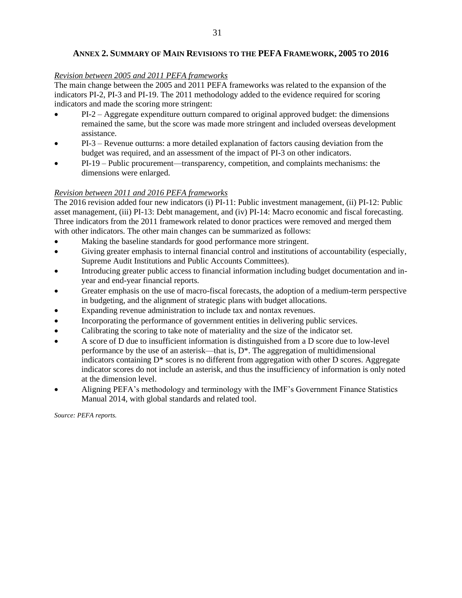#### **ANNEX 2. SUMMARY OF MAIN REVISIONS TO THE PEFA FRAMEWORK, 2005 TO 2016**

#### *Revision between 2005 and 2011 PEFA frameworks*

The main change between the 2005 and 2011 PEFA frameworks was related to the expansion of the indicators PI-2, PI-3 and PI-19. The 2011 methodology added to the evidence required for scoring indicators and made the scoring more stringent:

- PI-2 Aggregate expenditure outturn compared to original approved budget: the dimensions remained the same, but the score was made more stringent and included overseas development assistance.
- PI-3 Revenue outturns: a more detailed explanation of factors causing deviation from the budget was required, and an assessment of the impact of PI-3 on other indicators.
- PI-19 Public procurement—transparency, competition, and complaints mechanisms: the dimensions were enlarged.

#### *Revision between 2011 and 2016 PEFA frameworks*

The 2016 revision added four new indicators (i) PI-11: Public investment management, (ii) PI-12: Public asset management, (iii) PI-13: Debt management, and (iv) PI-14: Macro economic and fiscal forecasting. Three indicators from the 2011 framework related to donor practices were removed and merged them with other indicators. The other main changes can be summarized as follows:

- Making the baseline standards for good performance more stringent.
- Giving greater emphasis to internal financial control and institutions of accountability (especially, Supreme Audit Institutions and Public Accounts Committees).
- Introducing greater public access to financial information including budget documentation and inyear and end-year financial reports.
- Greater emphasis on the use of macro-fiscal forecasts, the adoption of a medium-term perspective in budgeting, and the alignment of strategic plans with budget allocations.
- Expanding revenue administration to include tax and nontax revenues.
- Incorporating the performance of government entities in delivering public services.
- Calibrating the scoring to take note of materiality and the size of the indicator set.
- A score of D due to insufficient information is distinguished from a D score due to low-level performance by the use of an asterisk—that is,  $D^*$ . The aggregation of multidimensional indicators containing  $D^*$  scores is no different from aggregation with other  $D$  scores. Aggregate indicator scores do not include an asterisk, and thus the insufficiency of information is only noted at the dimension level.
- Aligning PEFA's methodology and terminology with the IMF's Government Finance Statistics Manual 2014, with global standards and related tool.

*Source: PEFA reports.*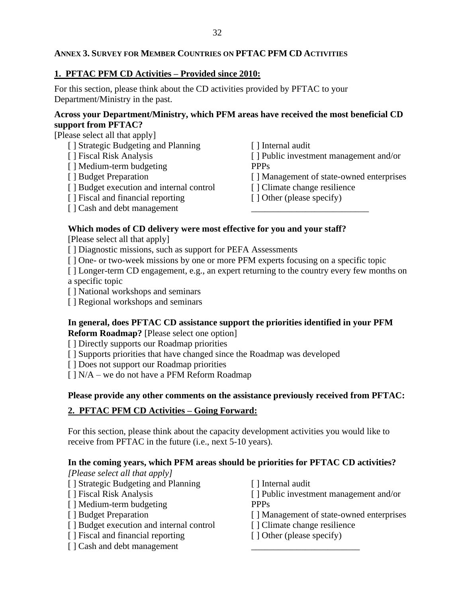#### **ANNEX 3. SURVEY FOR MEMBER COUNTRIES ON PFTAC PFM CD ACTIVITIES**

#### **1. PFTAC PFM CD Activities – Provided since 2010:**

For this section, please think about the CD activities provided by PFTAC to your Department/Ministry in the past.

#### **Across your Department/Ministry, which PFM areas have received the most beneficial CD support from PFTAC?**

[Please select all that apply]

- [ ] Strategic Budgeting and Planning [ ] Fiscal Risk Analysis [ ] Medium-term budgeting [ ] Budget Preparation [ ] Budget execution and internal control [ ] Fiscal and financial reporting [ ] Internal audit [ ] Public investment management and/or **PPPs** [ ] Management of state-owned enterprises [ ] Climate change resilience [ ] Other (please specify) \_\_\_\_\_\_\_\_\_\_\_\_\_\_\_\_\_\_\_\_\_\_\_\_\_\_
- [ ] Cash and debt management

## **Which modes of CD delivery were most effective for you and your staff?**

[Please select all that apply]

[ ] Diagnostic missions, such as support for PEFA Assessments

[  $\vert$  One- or two-week missions by one or more PFM experts focusing on a specific topic

[ ] Longer-term CD engagement, e.g., an expert returning to the country every few months on a specific topic

[ ] National workshops and seminars

[ ] Regional workshops and seminars

## **In general, does PFTAC CD assistance support the priorities identified in your PFM**

**Reform Roadmap?** [Please select one option]

[] Directly supports our Roadmap priorities

[ ] Supports priorities that have changed since the Roadmap was developed

[] Does not support our Roadmap priorities

 $[ ] N/A -$  we do not have a PFM Reform Roadmap

#### **Please provide any other comments on the assistance previously received from PFTAC:**

## **2. PFTAC PFM CD Activities – Going Forward:**

For this section, please think about the capacity development activities you would like to receive from PFTAC in the future (i.e., next 5-10 years).

#### **In the coming years, which PFM areas should be priorities for PFTAC CD activities?**

*[Please select all that apply]*

- [ ] Strategic Budgeting and Planning
- [ ] Fiscal Risk Analysis
- [] Medium-term budgeting
- [ ] Budget Preparation
- [ ] Budget execution and internal control
- [ ] Fiscal and financial reporting
- [ ] Cash and debt management
- [ ] Internal audit
- [ ] Public investment management and/or
- **PPPs**
- [] Management of state-owned enterprises
- [ ] Climate change resilience

\_\_\_\_\_\_\_\_\_\_\_\_\_\_\_\_\_\_\_\_\_\_\_\_

[ ] Other (please specify)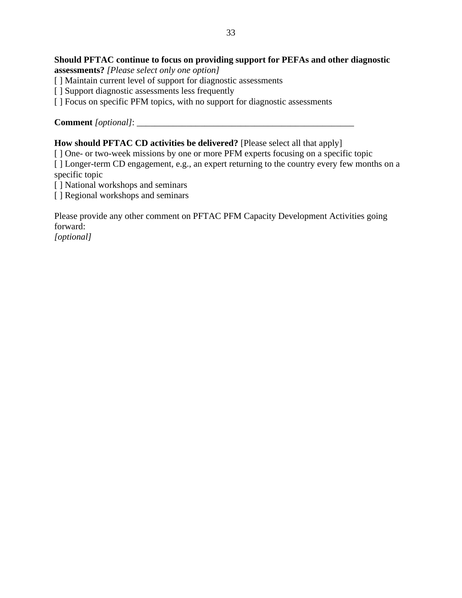## **Should PFTAC continue to focus on providing support for PEFAs and other diagnostic**

**assessments?** *[Please select only one option]*

- [] Maintain current level of support for diagnostic assessments
- [ ] Support diagnostic assessments less frequently
- [ ] Focus on specific PFM topics, with no support for diagnostic assessments

**Comment** *[optional]*: \_\_\_\_\_\_\_\_\_\_\_\_\_\_\_\_\_\_\_\_\_\_\_\_\_\_\_\_\_\_\_\_\_\_\_\_\_\_\_\_\_\_\_\_\_\_\_\_

## **How should PFTAC CD activities be delivered?** [Please select all that apply]

[  $\vert$  One- or two-week missions by one or more PFM experts focusing on a specific topic [ ] Longer-term CD engagement, e.g., an expert returning to the country every few months on a specific topic

[] National workshops and seminars

[ ] Regional workshops and seminars

Please provide any other comment on PFTAC PFM Capacity Development Activities going forward:

*[optional]*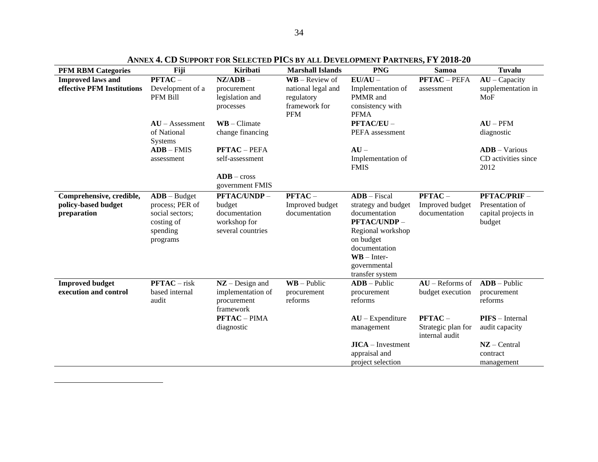| <b>PFM RBM Categories</b>                                      | Fiji                                                                                       | <b>Kiribati</b>                                                                    | <b>Marshall Islands</b>                                         | <b>PNG</b>                                                                                                                                                                                     | <b>Samoa</b>                                      | Tuvalu                                                          |
|----------------------------------------------------------------|--------------------------------------------------------------------------------------------|------------------------------------------------------------------------------------|-----------------------------------------------------------------|------------------------------------------------------------------------------------------------------------------------------------------------------------------------------------------------|---------------------------------------------------|-----------------------------------------------------------------|
| <b>Improved laws and</b>                                       | $PFTAC -$                                                                                  | $NZ/ADB -$                                                                         | $WB - Review of$                                                | $EU/AU -$                                                                                                                                                                                      | <b>PFTAC</b> - PEFA                               | $AU - Capacity$                                                 |
| effective PFM Institutions                                     | Development of a<br>PFM Bill                                                               | procurement<br>legislation and<br>processes                                        | national legal and<br>regulatory<br>framework for<br><b>PFM</b> | Implementation of<br>PMMR and<br>consistency with<br><b>PFMA</b>                                                                                                                               | assessment                                        | supplementation in<br>MoF                                       |
|                                                                | $AU -$ Assessment<br>of National<br>Systems                                                | $\mathbf{W}\mathbf{B}$ – Climate<br>change financing                               |                                                                 | PFTAC/EU-<br>PEFA assessment                                                                                                                                                                   |                                                   | $AU - PFM$<br>diagnostic                                        |
|                                                                | $ADB - FMIS$                                                                               | <b>PFTAC - PEFA</b>                                                                |                                                                 | $AI -$                                                                                                                                                                                         |                                                   | $ADB - Various$                                                 |
|                                                                | assessment                                                                                 | self-assessment                                                                    |                                                                 | Implementation of<br><b>FMIS</b>                                                                                                                                                               |                                                   | CD activities since<br>2012                                     |
|                                                                |                                                                                            | $ADB - cross$<br>government FMIS                                                   |                                                                 |                                                                                                                                                                                                |                                                   |                                                                 |
| Comprehensive, credible,<br>policy-based budget<br>preparation | $ADB - Budget$<br>process; PER of<br>social sectors;<br>costing of<br>spending<br>programs | <b>PFTAC/UNDP-</b><br>budget<br>documentation<br>workshop for<br>several countries | $PFTAC -$<br>Improved budget<br>documentation                   | $ADB - Fiscal$<br>strategy and budget<br>documentation<br>PFTAC/UNDP-<br>Regional workshop<br>on budget<br>documentation<br>$\mathbf{W}\mathbf{B}$ – Inter-<br>governmental<br>transfer system | $PFTAC -$<br>Improved budget<br>documentation     | PFTAC/PRIF-<br>Presentation of<br>capital projects in<br>budget |
| <b>Improved budget</b><br>execution and control                | $PFTAC - risk$<br>based internal<br>audit                                                  | $NZ$ – Design and<br>implementation of<br>procurement<br>framework                 | $\mathbf{W}\mathbf{B}$ – Public<br>procurement<br>reforms       | $ADB - Public$<br>procurement<br>reforms                                                                                                                                                       | $AU -$ Reforms of<br>budget execution             | $ADB - Public$<br>procurement<br>reforms                        |
|                                                                |                                                                                            | <b>PFTAC-PIMA</b><br>diagnostic                                                    |                                                                 | $AU - Expenditure$<br>management                                                                                                                                                               | $PFTAC -$<br>Strategic plan for<br>internal audit | PIFS - Internal<br>audit capacity                               |
|                                                                |                                                                                            |                                                                                    |                                                                 | $JICA - Investment$<br>appraisal and<br>project selection                                                                                                                                      |                                                   | $NZ$ – Central<br>contract<br>management                        |

**ANNEX 4. CD SUPPORT FOR SELECTED PICS BY ALL DEVELOPMENT PARTNERS, FY 2018-20**